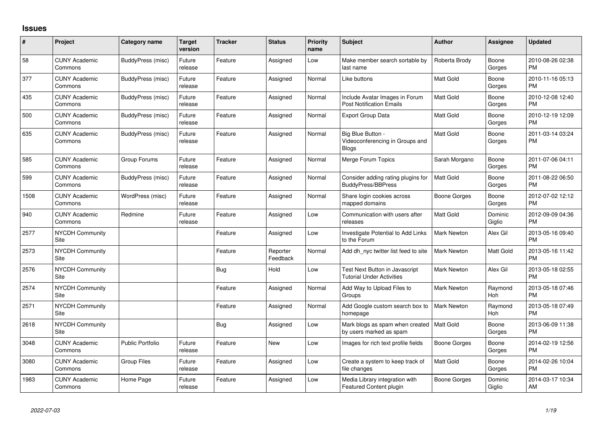## **Issues**

| #    | Project                         | <b>Category name</b>     | <b>Target</b><br>version | <b>Tracker</b> | <b>Status</b>        | <b>Priority</b><br>name | Subject                                                              | <b>Author</b>       | Assignee          | <b>Updated</b>                |
|------|---------------------------------|--------------------------|--------------------------|----------------|----------------------|-------------------------|----------------------------------------------------------------------|---------------------|-------------------|-------------------------------|
| 58   | <b>CUNY Academic</b><br>Commons | BuddyPress (misc)        | Future<br>release        | Feature        | Assigned             | Low                     | Make member search sortable by<br>last name                          | Roberta Brody       | Boone<br>Gorges   | 2010-08-26 02:38<br><b>PM</b> |
| 377  | <b>CUNY Academic</b><br>Commons | <b>BuddyPress</b> (misc) | Future<br>release        | Feature        | Assigned             | Normal                  | Like buttons                                                         | Matt Gold           | Boone<br>Gorges   | 2010-11-16 05:13<br><b>PM</b> |
| 435  | <b>CUNY Academic</b><br>Commons | BuddyPress (misc)        | Future<br>release        | Feature        | Assigned             | Normal                  | Include Avatar Images in Forum<br><b>Post Notification Emails</b>    | <b>Matt Gold</b>    | Boone<br>Gorges   | 2010-12-08 12:40<br><b>PM</b> |
| 500  | <b>CUNY Academic</b><br>Commons | BuddyPress (misc)        | Future<br>release        | Feature        | Assigned             | Normal                  | <b>Export Group Data</b>                                             | <b>Matt Gold</b>    | Boone<br>Gorges   | 2010-12-19 12:09<br><b>PM</b> |
| 635  | <b>CUNY Academic</b><br>Commons | BuddyPress (misc)        | Future<br>release        | Feature        | Assigned             | Normal                  | Big Blue Button -<br>Videoconferencing in Groups and<br><b>Blogs</b> | Matt Gold           | Boone<br>Gorges   | 2011-03-14 03:24<br><b>PM</b> |
| 585  | <b>CUNY Academic</b><br>Commons | Group Forums             | Future<br>release        | Feature        | Assigned             | Normal                  | Merge Forum Topics                                                   | Sarah Morgano       | Boone<br>Gorges   | 2011-07-06 04:11<br><b>PM</b> |
| 599  | <b>CUNY Academic</b><br>Commons | BuddyPress (misc)        | Future<br>release        | Feature        | Assigned             | Normal                  | Consider adding rating plugins for<br>BuddyPress/BBPress             | <b>Matt Gold</b>    | Boone<br>Gorges   | 2011-08-22 06:50<br><b>PM</b> |
| 1508 | <b>CUNY Academic</b><br>Commons | WordPress (misc)         | Future<br>release        | Feature        | Assigned             | Normal                  | Share login cookies across<br>mapped domains                         | <b>Boone Gorges</b> | Boone<br>Gorges   | 2012-07-02 12:12<br><b>PM</b> |
| 940  | <b>CUNY Academic</b><br>Commons | Redmine                  | Future<br>release        | Feature        | Assigned             | Low                     | Communication with users after<br>releases                           | Matt Gold           | Dominic<br>Giglio | 2012-09-09 04:36<br><b>PM</b> |
| 2577 | <b>NYCDH Community</b><br>Site  |                          |                          | Feature        | Assigned             | Low                     | Investigate Potential to Add Links<br>to the Forum                   | <b>Mark Newton</b>  | Alex Gil          | 2013-05-16 09:40<br><b>PM</b> |
| 2573 | <b>NYCDH Community</b><br>Site  |                          |                          | Feature        | Reporter<br>Feedback | Normal                  | Add dh_nyc twitter list feed to site                                 | Mark Newton         | Matt Gold         | 2013-05-16 11:42<br><b>PM</b> |
| 2576 | <b>NYCDH Community</b><br>Site  |                          |                          | Bug            | Hold                 | Low                     | Test Next Button in Javascript<br>Tutorial Under Activities          | Mark Newton         | Alex Gil          | 2013-05-18 02:55<br><b>PM</b> |
| 2574 | <b>NYCDH Community</b><br>Site  |                          |                          | Feature        | Assigned             | Normal                  | Add Way to Upload Files to<br>Groups                                 | <b>Mark Newton</b>  | Raymond<br>Hoh    | 2013-05-18 07:46<br><b>PM</b> |
| 2571 | NYCDH Community<br>Site         |                          |                          | Feature        | Assigned             | Normal                  | Add Google custom search box to<br>homepage                          | Mark Newton         | Raymond<br>Hoh    | 2013-05-18 07:49<br><b>PM</b> |
| 2618 | <b>NYCDH Community</b><br>Site  |                          |                          | Bug            | Assigned             | Low                     | Mark blogs as spam when created<br>by users marked as spam           | l Matt Gold         | Boone<br>Gorges   | 2013-06-09 11:38<br><b>PM</b> |
| 3048 | <b>CUNY Academic</b><br>Commons | <b>Public Portfolio</b>  | Future<br>release        | Feature        | New                  | Low                     | Images for rich text profile fields                                  | Boone Gorges        | Boone<br>Gorges   | 2014-02-19 12:56<br><b>PM</b> |
| 3080 | <b>CUNY Academic</b><br>Commons | <b>Group Files</b>       | Future<br>release        | Feature        | Assigned             | Low                     | Create a system to keep track of<br>file changes                     | Matt Gold           | Boone<br>Gorges   | 2014-02-26 10:04<br><b>PM</b> |
| 1983 | <b>CUNY Academic</b><br>Commons | Home Page                | Future<br>release        | Feature        | Assigned             | Low                     | Media Library integration with<br>Featured Content plugin            | Boone Gorges        | Dominic<br>Giglio | 2014-03-17 10:34<br>AM        |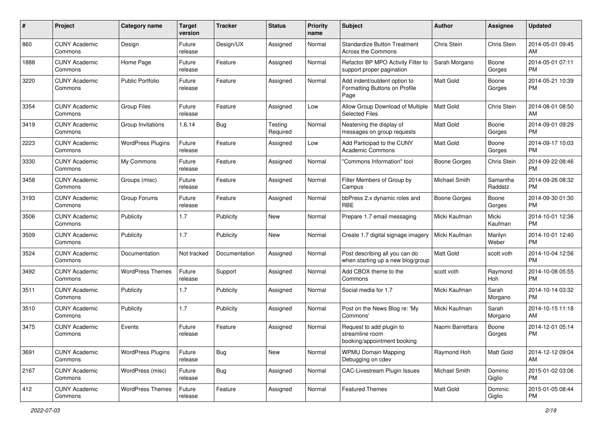| #    | Project                         | <b>Category name</b>     | <b>Target</b><br>version | <b>Tracker</b> | <b>Status</b>       | <b>Priority</b><br>name | <b>Subject</b>                                                             | Author               | Assignee            | <b>Updated</b>                |
|------|---------------------------------|--------------------------|--------------------------|----------------|---------------------|-------------------------|----------------------------------------------------------------------------|----------------------|---------------------|-------------------------------|
| 860  | <b>CUNY Academic</b><br>Commons | Design                   | Future<br>release        | Design/UX      | Assigned            | Normal                  | <b>Standardize Button Treatment</b><br>Across the Commons                  | Chris Stein          | Chris Stein         | 2014-05-01 09:45<br>AM        |
| 1888 | <b>CUNY Academic</b><br>Commons | Home Page                | Future<br>release        | Feature        | Assigned            | Normal                  | Refactor BP MPO Activity Filter to<br>support proper pagination            | Sarah Morgano        | Boone<br>Gorges     | 2014-05-01 07:11<br><b>PM</b> |
| 3220 | <b>CUNY Academic</b><br>Commons | <b>Public Portfolio</b>  | Future<br>release        | Feature        | Assigned            | Normal                  | Add indent/outdent option to<br>Formatting Buttons on Profile<br>Page      | Matt Gold            | Boone<br>Gorges     | 2014-05-21 10:39<br><b>PM</b> |
| 3354 | <b>CUNY Academic</b><br>Commons | <b>Group Files</b>       | Future<br>release        | Feature        | Assigned            | Low                     | Allow Group Download of Multiple<br><b>Selected Files</b>                  | <b>Matt Gold</b>     | Chris Stein         | 2014-08-01 08:50<br>AM        |
| 3419 | <b>CUNY Academic</b><br>Commons | Group Invitations        | 1.6.14                   | Bug            | Testing<br>Required | Normal                  | Neatening the display of<br>messages on group requests                     | <b>Matt Gold</b>     | Boone<br>Gorges     | 2014-09-01 09:29<br><b>PM</b> |
| 2223 | <b>CUNY Academic</b><br>Commons | <b>WordPress Plugins</b> | Future<br>release        | Feature        | Assigned            | Low                     | Add Participad to the CUNY<br><b>Academic Commons</b>                      | <b>Matt Gold</b>     | Boone<br>Gorges     | 2014-09-17 10:03<br><b>PM</b> |
| 3330 | <b>CUNY Academic</b><br>Commons | My Commons               | Future<br>release        | Feature        | Assigned            | Normal                  | "Commons Information" tool                                                 | Boone Gorges         | Chris Stein         | 2014-09-22 08:46<br><b>PM</b> |
| 3458 | <b>CUNY Academic</b><br>Commons | Groups (misc)            | Future<br>release        | Feature        | Assigned            | Normal                  | Filter Members of Group by<br>Campus                                       | <b>Michael Smith</b> | Samantha<br>Raddatz | 2014-09-26 08:32<br><b>PM</b> |
| 3193 | <b>CUNY Academic</b><br>Commons | Group Forums             | Future<br>release        | Feature        | Assigned            | Normal                  | bbPress 2.x dynamic roles and<br>RBE                                       | Boone Gorges         | Boone<br>Gorges     | 2014-09-30 01:30<br>PM        |
| 3506 | <b>CUNY Academic</b><br>Commons | Publicity                | 1.7                      | Publicity      | New                 | Normal                  | Prepare 1.7 email messaging                                                | Micki Kaufman        | Micki<br>Kaufman    | 2014-10-01 12:36<br><b>PM</b> |
| 3509 | <b>CUNY Academic</b><br>Commons | Publicity                | 1.7                      | Publicity      | New                 | Normal                  | Create 1.7 digital signage imagery                                         | Micki Kaufman        | Marilyn<br>Weber    | 2014-10-01 12:40<br><b>PM</b> |
| 3524 | <b>CUNY Academic</b><br>Commons | Documentation            | Not tracked              | Documentation  | Assigned            | Normal                  | Post describing all you can do<br>when starting up a new blog/group        | <b>Matt Gold</b>     | scott voth          | 2014-10-04 12:56<br><b>PM</b> |
| 3492 | <b>CUNY Academic</b><br>Commons | <b>WordPress Themes</b>  | Future<br>release        | Support        | Assigned            | Normal                  | Add CBOX theme to the<br>Commons                                           | scott voth           | Raymond<br>Hoh      | 2014-10-08 05:55<br><b>PM</b> |
| 3511 | <b>CUNY Academic</b><br>Commons | Publicity                | 1.7                      | Publicity      | Assigned            | Normal                  | Social media for 1.7                                                       | Micki Kaufman        | Sarah<br>Morgano    | 2014-10-14 03:32<br><b>PM</b> |
| 3510 | <b>CUNY Academic</b><br>Commons | Publicity                | 1.7                      | Publicity      | Assigned            | Normal                  | Post on the News Blog re: 'My<br>Commons'                                  | Micki Kaufman        | Sarah<br>Morgano    | 2014-10-15 11:18<br>AM        |
| 3475 | <b>CUNY Academic</b><br>Commons | Events                   | Future<br>release        | Feature        | Assigned            | Normal                  | Request to add plugin to<br>streamline room<br>booking/appointment booking | Naomi Barrettara     | Boone<br>Gorges     | 2014-12-01 05:14<br><b>PM</b> |
| 3691 | <b>CUNY Academic</b><br>Commons | <b>WordPress Plugins</b> | Future<br>release        | <b>Bug</b>     | New                 | Normal                  | <b>WPMU Domain Mapping</b><br>Debugging on cdev                            | Raymond Hoh          | Matt Gold           | 2014-12-12 09:04<br>AM        |
| 2167 | <b>CUNY Academic</b><br>Commons | WordPress (misc)         | Future<br>release        | Bug            | Assigned            | Normal                  | <b>CAC-Livestream Plugin Issues</b>                                        | Michael Smith        | Dominic<br>Giglio   | 2015-01-02 03:06<br><b>PM</b> |
| 412  | <b>CUNY Academic</b><br>Commons | <b>WordPress Themes</b>  | Future<br>release        | Feature        | Assigned            | Normal                  | <b>Featured Themes</b>                                                     | Matt Gold            | Dominic<br>Giglio   | 2015-01-05 08:44<br>PM        |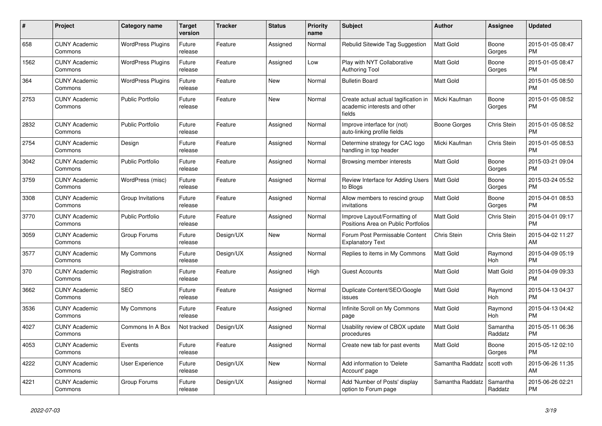| $\#$ | Project                         | <b>Category name</b>     | <b>Target</b><br>version | <b>Tracker</b> | <b>Status</b> | Priority<br>name | <b>Subject</b>                                                                 | <b>Author</b>    | <b>Assignee</b>     | <b>Updated</b>                |
|------|---------------------------------|--------------------------|--------------------------|----------------|---------------|------------------|--------------------------------------------------------------------------------|------------------|---------------------|-------------------------------|
| 658  | <b>CUNY Academic</b><br>Commons | <b>WordPress Plugins</b> | Future<br>release        | Feature        | Assigned      | Normal           | Rebulid Sitewide Tag Suggestion                                                | <b>Matt Gold</b> | Boone<br>Gorges     | 2015-01-05 08:47<br><b>PM</b> |
| 1562 | <b>CUNY Academic</b><br>Commons | <b>WordPress Plugins</b> | Future<br>release        | Feature        | Assigned      | Low              | Play with NYT Collaborative<br><b>Authoring Tool</b>                           | <b>Matt Gold</b> | Boone<br>Gorges     | 2015-01-05 08:47<br><b>PM</b> |
| 364  | <b>CUNY Academic</b><br>Commons | <b>WordPress Plugins</b> | Future<br>release        | Feature        | <b>New</b>    | Normal           | <b>Bulletin Board</b>                                                          | Matt Gold        |                     | 2015-01-05 08:50<br><b>PM</b> |
| 2753 | <b>CUNY Academic</b><br>Commons | <b>Public Portfolio</b>  | Future<br>release        | Feature        | <b>New</b>    | Normal           | Create actual actual tagification in<br>academic interests and other<br>fields | Micki Kaufman    | Boone<br>Gorges     | 2015-01-05 08:52<br><b>PM</b> |
| 2832 | <b>CUNY Academic</b><br>Commons | <b>Public Portfolio</b>  | Future<br>release        | Feature        | Assigned      | Normal           | Improve interface for (not)<br>auto-linking profile fields                     | Boone Gorges     | Chris Stein         | 2015-01-05 08:52<br><b>PM</b> |
| 2754 | <b>CUNY Academic</b><br>Commons | Design                   | Future<br>release        | Feature        | Assigned      | Normal           | Determine strategy for CAC logo<br>handling in top header                      | Micki Kaufman    | Chris Stein         | 2015-01-05 08:53<br><b>PM</b> |
| 3042 | <b>CUNY Academic</b><br>Commons | <b>Public Portfolio</b>  | Future<br>release        | Feature        | Assigned      | Normal           | Browsing member interests                                                      | Matt Gold        | Boone<br>Gorges     | 2015-03-21 09:04<br><b>PM</b> |
| 3759 | <b>CUNY Academic</b><br>Commons | WordPress (misc)         | Future<br>release        | Feature        | Assigned      | Normal           | Review Interface for Adding Users<br>to Blogs                                  | <b>Matt Gold</b> | Boone<br>Gorges     | 2015-03-24 05:52<br><b>PM</b> |
| 3308 | <b>CUNY Academic</b><br>Commons | Group Invitations        | Future<br>release        | Feature        | Assigned      | Normal           | Allow members to rescind group<br>invitations                                  | <b>Matt Gold</b> | Boone<br>Gorges     | 2015-04-01 08:53<br><b>PM</b> |
| 3770 | <b>CUNY Academic</b><br>Commons | <b>Public Portfolio</b>  | Future<br>release        | Feature        | Assigned      | Normal           | Improve Layout/Formatting of<br>Positions Area on Public Portfolios            | <b>Matt Gold</b> | <b>Chris Stein</b>  | 2015-04-01 09:17<br><b>PM</b> |
| 3059 | <b>CUNY Academic</b><br>Commons | Group Forums             | Future<br>release        | Design/UX      | New           | Normal           | Forum Post Permissable Content<br><b>Explanatory Text</b>                      | Chris Stein      | Chris Stein         | 2015-04-02 11:27<br>AM        |
| 3577 | <b>CUNY Academic</b><br>Commons | My Commons               | Future<br>release        | Design/UX      | Assigned      | Normal           | Replies to items in My Commons                                                 | Matt Gold        | Raymond<br>Hoh      | 2015-04-09 05:19<br><b>PM</b> |
| 370  | <b>CUNY Academic</b><br>Commons | Registration             | Future<br>release        | Feature        | Assigned      | High             | <b>Guest Accounts</b>                                                          | Matt Gold        | Matt Gold           | 2015-04-09 09:33<br><b>PM</b> |
| 3662 | <b>CUNY Academic</b><br>Commons | <b>SEO</b>               | Future<br>release        | Feature        | Assigned      | Normal           | Duplicate Content/SEO/Google<br>issues                                         | Matt Gold        | Raymond<br>Hoh      | 2015-04-13 04:37<br><b>PM</b> |
| 3536 | <b>CUNY Academic</b><br>Commons | My Commons               | Future<br>release        | Feature        | Assigned      | Normal           | Infinite Scroll on My Commons<br>page                                          | Matt Gold        | Raymond<br>Hoh      | 2015-04-13 04:42<br><b>PM</b> |
| 4027 | <b>CUNY Academic</b><br>Commons | Commons In A Box         | Not tracked              | Design/UX      | Assigned      | Normal           | Usability review of CBOX update<br>procedures                                  | <b>Matt Gold</b> | Samantha<br>Raddatz | 2015-05-11 06:36<br><b>PM</b> |
| 4053 | <b>CUNY Academic</b><br>Commons | Events                   | Future<br>release        | Feature        | Assigned      | Normal           | Create new tab for past events                                                 | <b>Matt Gold</b> | Boone<br>Gorges     | 2015-05-12 02:10<br><b>PM</b> |
| 4222 | <b>CUNY Academic</b><br>Commons | <b>User Experience</b>   | Future<br>release        | Design/UX      | New           | Normal           | Add information to 'Delete<br>Account' page                                    | Samantha Raddatz | scott voth          | 2015-06-26 11:35<br>AM        |
| 4221 | <b>CUNY Academic</b><br>Commons | Group Forums             | Future<br>release        | Design/UX      | Assigned      | Normal           | Add 'Number of Posts' display<br>option to Forum page                          | Samantha Raddatz | Samantha<br>Raddatz | 2015-06-26 02:21<br><b>PM</b> |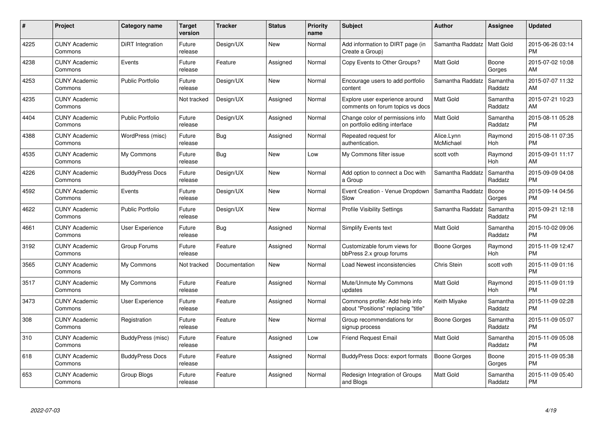| #    | Project                         | <b>Category name</b>    | <b>Target</b><br>version | <b>Tracker</b> | <b>Status</b> | <b>Priority</b><br>name | <b>Subject</b>                                                        | <b>Author</b>           | Assignee            | <b>Updated</b>                |
|------|---------------------------------|-------------------------|--------------------------|----------------|---------------|-------------------------|-----------------------------------------------------------------------|-------------------------|---------------------|-------------------------------|
| 4225 | <b>CUNY Academic</b><br>Commons | <b>DiRT</b> Integration | Future<br>release        | Design/UX      | <b>New</b>    | Normal                  | Add information to DIRT page (in<br>Create a Group)                   | Samantha Raddatz        | Matt Gold           | 2015-06-26 03:14<br><b>PM</b> |
| 4238 | <b>CUNY Academic</b><br>Commons | Events                  | Future<br>release        | Feature        | Assigned      | Normal                  | Copy Events to Other Groups?                                          | <b>Matt Gold</b>        | Boone<br>Gorges     | 2015-07-02 10:08<br>AM        |
| 4253 | <b>CUNY Academic</b><br>Commons | <b>Public Portfolio</b> | Future<br>release        | Design/UX      | <b>New</b>    | Normal                  | Encourage users to add portfolio<br>content                           | Samantha Raddatz        | Samantha<br>Raddatz | 2015-07-07 11:32<br>AM        |
| 4235 | <b>CUNY Academic</b><br>Commons |                         | Not tracked              | Design/UX      | Assigned      | Normal                  | Explore user experience around<br>comments on forum topics vs docs    | <b>Matt Gold</b>        | Samantha<br>Raddatz | 2015-07-21 10:23<br>AM        |
| 4404 | <b>CUNY Academic</b><br>Commons | Public Portfolio        | Future<br>release        | Design/UX      | Assigned      | Normal                  | Change color of permissions info<br>on portfolio editing interface    | <b>Matt Gold</b>        | Samantha<br>Raddatz | 2015-08-11 05:28<br><b>PM</b> |
| 4388 | <b>CUNY Academic</b><br>Commons | WordPress (misc)        | Future<br>release        | <b>Bug</b>     | Assigned      | Normal                  | Repeated request for<br>authentication.                               | Alice.Lynn<br>McMichael | Raymond<br>Hoh      | 2015-08-11 07:35<br><b>PM</b> |
| 4535 | <b>CUNY Academic</b><br>Commons | My Commons              | Future<br>release        | Bug            | <b>New</b>    | Low                     | My Commons filter issue                                               | scott voth              | Raymond<br>Hoh      | 2015-09-01 11:17<br>AM        |
| 4226 | <b>CUNY Academic</b><br>Commons | <b>BuddyPress Docs</b>  | Future<br>release        | Design/UX      | <b>New</b>    | Normal                  | Add option to connect a Doc with<br>a Group                           | Samantha Raddatz        | Samantha<br>Raddatz | 2015-09-09 04:08<br><b>PM</b> |
| 4592 | <b>CUNY Academic</b><br>Commons | Events                  | Future<br>release        | Design/UX      | New           | Normal                  | Event Creation - Venue Dropdown<br>Slow                               | Samantha Raddatz        | Boone<br>Gorges     | 2015-09-14 04:56<br><b>PM</b> |
| 4622 | <b>CUNY Academic</b><br>Commons | <b>Public Portfolio</b> | Future<br>release        | Design/UX      | <b>New</b>    | Normal                  | <b>Profile Visibility Settings</b>                                    | Samantha Raddatz        | Samantha<br>Raddatz | 2015-09-21 12:18<br><b>PM</b> |
| 4661 | <b>CUNY Academic</b><br>Commons | User Experience         | Future<br>release        | Bug            | Assigned      | Normal                  | Simplify Events text                                                  | Matt Gold               | Samantha<br>Raddatz | 2015-10-02 09:06<br><b>PM</b> |
| 3192 | <b>CUNY Academic</b><br>Commons | Group Forums            | Future<br>release        | Feature        | Assigned      | Normal                  | Customizable forum views for<br>bbPress 2.x group forums              | Boone Gorges            | Raymond<br>Hoh      | 2015-11-09 12:47<br><b>PM</b> |
| 3565 | <b>CUNY Academic</b><br>Commons | My Commons              | Not tracked              | Documentation  | New           | Normal                  | Load Newest inconsistencies                                           | Chris Stein             | scott voth          | 2015-11-09 01:16<br><b>PM</b> |
| 3517 | <b>CUNY Academic</b><br>Commons | My Commons              | Future<br>release        | Feature        | Assigned      | Normal                  | Mute/Unmute My Commons<br>updates                                     | Matt Gold               | Raymond<br>Hoh      | 2015-11-09 01:19<br><b>PM</b> |
| 3473 | <b>CUNY Academic</b><br>Commons | User Experience         | Future<br>release        | Feature        | Assigned      | Normal                  | Commons profile: Add help info<br>about "Positions" replacing "title" | Keith Miyake            | Samantha<br>Raddatz | 2015-11-09 02:28<br><b>PM</b> |
| 308  | <b>CUNY Academic</b><br>Commons | Registration            | Future<br>release        | Feature        | New           | Normal                  | Group recommendations for<br>signup process                           | Boone Gorges            | Samantha<br>Raddatz | 2015-11-09 05:07<br><b>PM</b> |
| 310  | <b>CUNY Academic</b><br>Commons | BuddyPress (misc)       | Future<br>release        | Feature        | Assigned      | Low                     | <b>Friend Request Email</b>                                           | <b>Matt Gold</b>        | Samantha<br>Raddatz | 2015-11-09 05:08<br><b>PM</b> |
| 618  | <b>CUNY Academic</b><br>Commons | <b>BuddyPress Docs</b>  | Future<br>release        | Feature        | Assigned      | Normal                  | BuddyPress Docs: export formats                                       | Boone Gorges            | Boone<br>Gorges     | 2015-11-09 05:38<br><b>PM</b> |
| 653  | CUNY Academic<br>Commons        | Group Blogs             | Future<br>release        | Feature        | Assigned      | Normal                  | Redesign Integration of Groups<br>and Blogs                           | <b>Matt Gold</b>        | Samantha<br>Raddatz | 2015-11-09 05:40<br><b>PM</b> |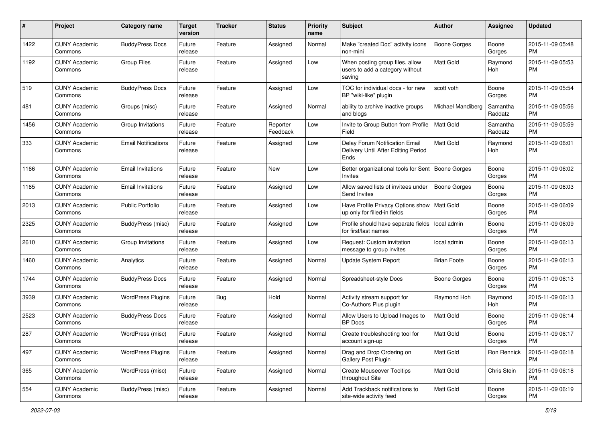| #    | Project                         | <b>Category name</b>       | <b>Target</b><br>version | <b>Tracker</b> | <b>Status</b>        | <b>Priority</b><br>name | Subject                                                                       | Author              | <b>Assignee</b>     | <b>Updated</b>                |
|------|---------------------------------|----------------------------|--------------------------|----------------|----------------------|-------------------------|-------------------------------------------------------------------------------|---------------------|---------------------|-------------------------------|
| 1422 | <b>CUNY Academic</b><br>Commons | <b>BuddyPress Docs</b>     | Future<br>release        | Feature        | Assigned             | Normal                  | Make "created Doc" activity icons<br>non-mini                                 | <b>Boone Gorges</b> | Boone<br>Gorges     | 2015-11-09 05:48<br><b>PM</b> |
| 1192 | <b>CUNY Academic</b><br>Commons | <b>Group Files</b>         | Future<br>release        | Feature        | Assigned             | Low                     | When posting group files, allow<br>users to add a category without<br>saving  | Matt Gold           | Raymond<br>Hoh      | 2015-11-09 05:53<br><b>PM</b> |
| 519  | <b>CUNY Academic</b><br>Commons | <b>BuddyPress Docs</b>     | Future<br>release        | Feature        | Assigned             | Low                     | TOC for individual docs - for new<br>BP "wiki-like" plugin                    | scott voth          | Boone<br>Gorges     | 2015-11-09 05:54<br><b>PM</b> |
| 481  | <b>CUNY Academic</b><br>Commons | Groups (misc)              | Future<br>release        | Feature        | Assigned             | Normal                  | ability to archive inactive groups<br>and blogs                               | Michael Mandiberg   | Samantha<br>Raddatz | 2015-11-09 05:56<br><b>PM</b> |
| 1456 | <b>CUNY Academic</b><br>Commons | Group Invitations          | Future<br>release        | Feature        | Reporter<br>Feedback | Low                     | Invite to Group Button from Profile<br>Field                                  | <b>Matt Gold</b>    | Samantha<br>Raddatz | 2015-11-09 05:59<br><b>PM</b> |
| 333  | <b>CUNY Academic</b><br>Commons | <b>Email Notifications</b> | Future<br>release        | Feature        | Assigned             | Low                     | Delay Forum Notification Email<br>Delivery Until After Editing Period<br>Ends | <b>Matt Gold</b>    | Raymond<br>Hoh      | 2015-11-09 06:01<br><b>PM</b> |
| 1166 | <b>CUNY Academic</b><br>Commons | <b>Email Invitations</b>   | Future<br>release        | Feature        | New                  | Low                     | Better organizational tools for Sent   Boone Gorges<br><b>Invites</b>         |                     | Boone<br>Gorges     | 2015-11-09 06:02<br><b>PM</b> |
| 1165 | <b>CUNY Academic</b><br>Commons | <b>Email Invitations</b>   | Future<br>release        | Feature        | Assigned             | Low                     | Allow saved lists of invitees under<br>Send Invites                           | <b>Boone Gorges</b> | Boone<br>Gorges     | 2015-11-09 06:03<br><b>PM</b> |
| 2013 | <b>CUNY Academic</b><br>Commons | Public Portfolio           | Future<br>release        | Feature        | Assigned             | Low                     | Have Profile Privacy Options show   Matt Gold<br>up only for filled-in fields |                     | Boone<br>Gorges     | 2015-11-09 06:09<br><b>PM</b> |
| 2325 | <b>CUNY Academic</b><br>Commons | <b>BuddyPress</b> (misc)   | Future<br>release        | Feature        | Assigned             | Low                     | Profile should have separate fields<br>for first/last names                   | l local admin       | Boone<br>Gorges     | 2015-11-09 06:09<br><b>PM</b> |
| 2610 | <b>CUNY Academic</b><br>Commons | Group Invitations          | Future<br>release        | Feature        | Assigned             | Low                     | Request: Custom invitation<br>message to group invites                        | local admin         | Boone<br>Gorges     | 2015-11-09 06:13<br><b>PM</b> |
| 1460 | <b>CUNY Academic</b><br>Commons | Analytics                  | Future<br>release        | Feature        | Assigned             | Normal                  | Update System Report                                                          | <b>Brian Foote</b>  | Boone<br>Gorges     | 2015-11-09 06:13<br><b>PM</b> |
| 1744 | <b>CUNY Academic</b><br>Commons | <b>BuddyPress Docs</b>     | Future<br>release        | Feature        | Assigned             | Normal                  | Spreadsheet-style Docs                                                        | Boone Gorges        | Boone<br>Gorges     | 2015-11-09 06:13<br><b>PM</b> |
| 3939 | <b>CUNY Academic</b><br>Commons | <b>WordPress Plugins</b>   | Future<br>release        | Bug            | Hold                 | Normal                  | Activity stream support for<br>Co-Authors Plus plugin                         | Raymond Hoh         | Raymond<br>Hoh      | 2015-11-09 06:13<br><b>PM</b> |
| 2523 | <b>CUNY Academic</b><br>Commons | <b>BuddyPress Docs</b>     | Future<br>release        | Feature        | Assigned             | Normal                  | Allow Users to Upload Images to<br><b>BP</b> Docs                             | <b>Matt Gold</b>    | Boone<br>Gorges     | 2015-11-09 06:14<br><b>PM</b> |
| 287  | <b>CUNY Academic</b><br>Commons | WordPress (misc)           | Future<br>release        | Feature        | Assigned             | Normal                  | Create troubleshooting tool for<br>account sign-up                            | <b>Matt Gold</b>    | Boone<br>Gorges     | 2015-11-09 06:17<br><b>PM</b> |
| 497  | <b>CUNY Academic</b><br>Commons | <b>WordPress Plugins</b>   | Future<br>release        | Feature        | Assigned             | Normal                  | Drag and Drop Ordering on<br>Gallery Post Plugin                              | <b>Matt Gold</b>    | Ron Rennick         | 2015-11-09 06:18<br><b>PM</b> |
| 365  | <b>CUNY Academic</b><br>Commons | WordPress (misc)           | Future<br>release        | Feature        | Assigned             | Normal                  | <b>Create Mouseover Tooltips</b><br>throughout Site                           | Matt Gold           | Chris Stein         | 2015-11-09 06:18<br><b>PM</b> |
| 554  | <b>CUNY Academic</b><br>Commons | <b>BuddyPress</b> (misc)   | Future<br>release        | Feature        | Assigned             | Normal                  | Add Trackback notifications to<br>site-wide activity feed                     | Matt Gold           | Boone<br>Gorges     | 2015-11-09 06:19<br><b>PM</b> |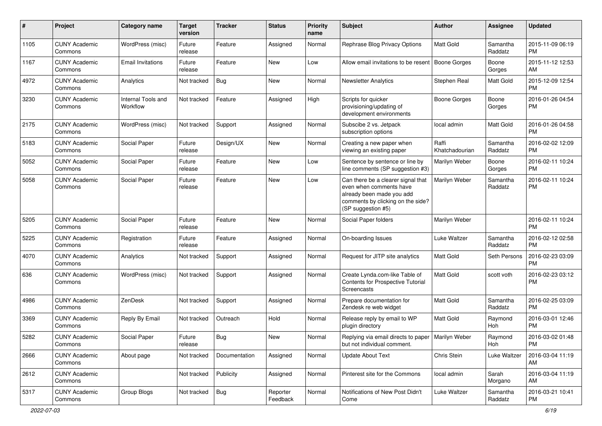| #    | Project                         | <b>Category name</b>           | <b>Target</b><br>version | <b>Tracker</b> | <b>Status</b>        | <b>Priority</b><br>name | <b>Subject</b>                                                                                                                                        | Author                  | <b>Assignee</b>     | <b>Updated</b>                |
|------|---------------------------------|--------------------------------|--------------------------|----------------|----------------------|-------------------------|-------------------------------------------------------------------------------------------------------------------------------------------------------|-------------------------|---------------------|-------------------------------|
| 1105 | <b>CUNY Academic</b><br>Commons | WordPress (misc)               | Future<br>release        | Feature        | Assigned             | Normal                  | Rephrase Blog Privacy Options                                                                                                                         | <b>Matt Gold</b>        | Samantha<br>Raddatz | 2015-11-09 06:19<br>PM.       |
| 1167 | <b>CUNY Academic</b><br>Commons | Email Invitations              | Future<br>release        | Feature        | New                  | Low                     | Allow email invitations to be resent                                                                                                                  | <b>Boone Gorges</b>     | Boone<br>Gorges     | 2015-11-12 12:53<br>AM.       |
| 4972 | <b>CUNY Academic</b><br>Commons | Analytics                      | Not tracked              | <b>Bug</b>     | <b>New</b>           | Normal                  | <b>Newsletter Analytics</b>                                                                                                                           | Stephen Real            | Matt Gold           | 2015-12-09 12:54<br><b>PM</b> |
| 3230 | <b>CUNY Academic</b><br>Commons | Internal Tools and<br>Workflow | Not tracked              | Feature        | Assigned             | High                    | Scripts for quicker<br>provisioning/updating of<br>development environments                                                                           | Boone Gorges            | Boone<br>Gorges     | 2016-01-26 04:54<br>PM        |
| 2175 | <b>CUNY Academic</b><br>Commons | WordPress (misc)               | Not tracked              | Support        | Assigned             | Normal                  | Subscibe 2 vs. Jetpack<br>subscription options                                                                                                        | local admin             | Matt Gold           | 2016-01-26 04:58<br><b>PM</b> |
| 5183 | <b>CUNY Academic</b><br>Commons | Social Paper                   | Future<br>release        | Design/UX      | <b>New</b>           | Normal                  | Creating a new paper when<br>viewing an existing paper                                                                                                | Raffi<br>Khatchadourian | Samantha<br>Raddatz | 2016-02-02 12:09<br><b>PM</b> |
| 5052 | <b>CUNY Academic</b><br>Commons | Social Paper                   | Future<br>release        | Feature        | <b>New</b>           | Low                     | Sentence by sentence or line by<br>line comments (SP suggestion #3)                                                                                   | Marilyn Weber           | Boone<br>Gorges     | 2016-02-11 10:24<br><b>PM</b> |
| 5058 | <b>CUNY Academic</b><br>Commons | Social Paper                   | Future<br>release        | Feature        | <b>New</b>           | Low                     | Can there be a clearer signal that<br>even when comments have<br>already been made you add<br>comments by clicking on the side?<br>(SP suggestion #5) | Marilyn Weber           | Samantha<br>Raddatz | 2016-02-11 10:24<br><b>PM</b> |
| 5205 | <b>CUNY Academic</b><br>Commons | Social Paper                   | Future<br>release        | Feature        | <b>New</b>           | Normal                  | Social Paper folders                                                                                                                                  | Marilyn Weber           |                     | 2016-02-11 10:24<br><b>PM</b> |
| 5225 | <b>CUNY Academic</b><br>Commons | Registration                   | Future<br>release        | Feature        | Assigned             | Normal                  | On-boarding Issues                                                                                                                                    | Luke Waltzer            | Samantha<br>Raddatz | 2016-02-12 02:58<br><b>PM</b> |
| 4070 | <b>CUNY Academic</b><br>Commons | Analytics                      | Not tracked              | Support        | Assigned             | Normal                  | Request for JITP site analytics                                                                                                                       | <b>Matt Gold</b>        | Seth Persons        | 2016-02-23 03:09<br><b>PM</b> |
| 636  | <b>CUNY Academic</b><br>Commons | WordPress (misc)               | Not tracked              | Support        | Assigned             | Normal                  | Create Lynda.com-like Table of<br>Contents for Prospective Tutorial<br>Screencasts                                                                    | <b>Matt Gold</b>        | scott voth          | 2016-02-23 03:12<br><b>PM</b> |
| 4986 | <b>CUNY Academic</b><br>Commons | ZenDesk                        | Not tracked              | Support        | Assigned             | Normal                  | Prepare documentation for<br>Zendesk re web widget                                                                                                    | Matt Gold               | Samantha<br>Raddatz | 2016-02-25 03:09<br><b>PM</b> |
| 3369 | <b>CUNY Academic</b><br>Commons | Reply By Email                 | Not tracked              | Outreach       | Hold                 | Normal                  | Release reply by email to WP<br>plugin directory                                                                                                      | <b>Matt Gold</b>        | Raymond<br>Hoh      | 2016-03-01 12:46<br><b>PM</b> |
| 5282 | <b>CUNY Academic</b><br>Commons | Social Paper                   | Future<br>release        | <b>Bug</b>     | New                  | Normal                  | Replying via email directs to paper   Marilyn Weber<br>but not individual comment.                                                                    |                         | Raymond<br>Hoh      | 2016-03-02 01:48<br>PM        |
| 2666 | <b>CUNY Academic</b><br>Commons | About page                     | Not tracked              | Documentation  | Assigned             | Normal                  | <b>Update About Text</b>                                                                                                                              | Chris Stein             | Luke Waltzer        | 2016-03-04 11:19<br>AM        |
| 2612 | <b>CUNY Academic</b><br>Commons |                                | Not tracked              | Publicity      | Assigned             | Normal                  | Pinterest site for the Commons                                                                                                                        | local admin             | Sarah<br>Morgano    | 2016-03-04 11:19<br>AM.       |
| 5317 | <b>CUNY Academic</b><br>Commons | Group Blogs                    | Not tracked              | Bug            | Reporter<br>Feedback | Normal                  | Notifications of New Post Didn't<br>Come                                                                                                              | Luke Waltzer            | Samantha<br>Raddatz | 2016-03-21 10:41<br>PM        |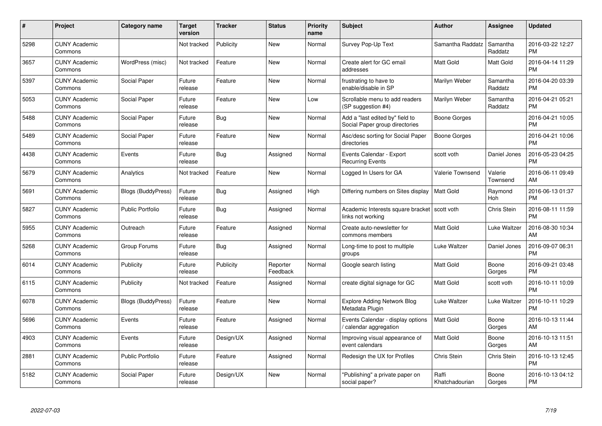| $\#$ | Project                         | <b>Category name</b>      | Target<br>version | <b>Tracker</b> | <b>Status</b>        | Priority<br>name | <b>Subject</b>                                                    | <b>Author</b>           | <b>Assignee</b>     | <b>Updated</b>                |
|------|---------------------------------|---------------------------|-------------------|----------------|----------------------|------------------|-------------------------------------------------------------------|-------------------------|---------------------|-------------------------------|
| 5298 | <b>CUNY Academic</b><br>Commons |                           | Not tracked       | Publicity      | <b>New</b>           | Normal           | Survey Pop-Up Text                                                | Samantha Raddatz        | Samantha<br>Raddatz | 2016-03-22 12:27<br><b>PM</b> |
| 3657 | <b>CUNY Academic</b><br>Commons | WordPress (misc)          | Not tracked       | Feature        | <b>New</b>           | Normal           | Create alert for GC email<br>addresses                            | <b>Matt Gold</b>        | Matt Gold           | 2016-04-14 11:29<br><b>PM</b> |
| 5397 | <b>CUNY Academic</b><br>Commons | Social Paper              | Future<br>release | Feature        | <b>New</b>           | Normal           | frustrating to have to<br>enable/disable in SP                    | Marilyn Weber           | Samantha<br>Raddatz | 2016-04-20 03:39<br><b>PM</b> |
| 5053 | <b>CUNY Academic</b><br>Commons | Social Paper              | Future<br>release | Feature        | <b>New</b>           | Low              | Scrollable menu to add readers<br>(SP suggestion #4)              | Marilyn Weber           | Samantha<br>Raddatz | 2016-04-21 05:21<br><b>PM</b> |
| 5488 | <b>CUNY Academic</b><br>Commons | Social Paper              | Future<br>release | <b>Bug</b>     | <b>New</b>           | Normal           | Add a "last edited by" field to<br>Social Paper group directories | Boone Gorges            |                     | 2016-04-21 10:05<br><b>PM</b> |
| 5489 | <b>CUNY Academic</b><br>Commons | Social Paper              | Future<br>release | Feature        | <b>New</b>           | Normal           | Asc/desc sorting for Social Paper<br>directories                  | Boone Gorges            |                     | 2016-04-21 10:06<br><b>PM</b> |
| 4438 | <b>CUNY Academic</b><br>Commons | Events                    | Future<br>release | Bug            | Assigned             | Normal           | Events Calendar - Export<br><b>Recurring Events</b>               | scott voth              | Daniel Jones        | 2016-05-23 04:25<br><b>PM</b> |
| 5679 | <b>CUNY Academic</b><br>Commons | Analytics                 | Not tracked       | Feature        | <b>New</b>           | Normal           | Logged In Users for GA                                            | Valerie Townsend        | Valerie<br>Townsend | 2016-06-11 09:49<br>AM        |
| 5691 | <b>CUNY Academic</b><br>Commons | <b>Blogs (BuddyPress)</b> | Future<br>release | Bug            | Assigned             | High             | Differing numbers on Sites display                                | <b>Matt Gold</b>        | Raymond<br>Hoh      | 2016-06-13 01:37<br><b>PM</b> |
| 5827 | <b>CUNY Academic</b><br>Commons | <b>Public Portfolio</b>   | Future<br>release | Bug            | Assigned             | Normal           | Academic Interests square bracket<br>links not working            | scott voth              | <b>Chris Stein</b>  | 2016-08-11 11:59<br><b>PM</b> |
| 5955 | <b>CUNY Academic</b><br>Commons | Outreach                  | Future<br>release | Feature        | Assigned             | Normal           | Create auto-newsletter for<br>commons members                     | Matt Gold               | Luke Waltzer        | 2016-08-30 10:34<br>AM        |
| 5268 | <b>CUNY Academic</b><br>Commons | Group Forums              | Future<br>release | Bug            | Assigned             | Normal           | Long-time to post to multiple<br>groups                           | Luke Waltzer            | Daniel Jones        | 2016-09-07 06:31<br><b>PM</b> |
| 6014 | <b>CUNY Academic</b><br>Commons | Publicity                 | Future<br>release | Publicity      | Reporter<br>Feedback | Normal           | Google search listing                                             | <b>Matt Gold</b>        | Boone<br>Gorges     | 2016-09-21 03:48<br><b>PM</b> |
| 6115 | <b>CUNY Academic</b><br>Commons | Publicity                 | Not tracked       | Feature        | Assigned             | Normal           | create digital signage for GC                                     | Matt Gold               | scott voth          | 2016-10-11 10:09<br><b>PM</b> |
| 6078 | <b>CUNY Academic</b><br>Commons | <b>Blogs (BuddyPress)</b> | Future<br>release | Feature        | New                  | Normal           | <b>Explore Adding Network Blog</b><br>Metadata Plugin             | Luke Waltzer            | Luke Waltzer        | 2016-10-11 10:29<br><b>PM</b> |
| 5696 | <b>CUNY Academic</b><br>Commons | Events                    | Future<br>release | Feature        | Assigned             | Normal           | Events Calendar - display options<br>calendar aggregation         | Matt Gold               | Boone<br>Gorges     | 2016-10-13 11:44<br>AM        |
| 4903 | <b>CUNY Academic</b><br>Commons | Events                    | Future<br>release | Design/UX      | Assigned             | Normal           | Improving visual appearance of<br>event calendars                 | Matt Gold               | Boone<br>Gorges     | 2016-10-13 11:51<br>AM        |
| 2881 | <b>CUNY Academic</b><br>Commons | <b>Public Portfolio</b>   | Future<br>release | Feature        | Assigned             | Normal           | Redesign the UX for Profiles                                      | Chris Stein             | <b>Chris Stein</b>  | 2016-10-13 12:45<br><b>PM</b> |
| 5182 | <b>CUNY Academic</b><br>Commons | Social Paper              | Future<br>release | Design/UX      | <b>New</b>           | Normal           | "Publishing" a private paper on<br>social paper?                  | Raffi<br>Khatchadourian | Boone<br>Gorges     | 2016-10-13 04:12<br><b>PM</b> |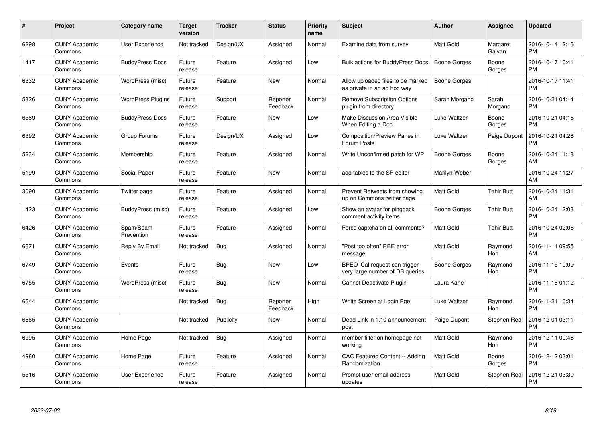| $\#$ | Project                         | <b>Category name</b>     | Target<br>version | <b>Tracker</b> | <b>Status</b>        | Priority<br>name | <b>Subject</b>                                                   | <b>Author</b>       | <b>Assignee</b>    | <b>Updated</b>                |
|------|---------------------------------|--------------------------|-------------------|----------------|----------------------|------------------|------------------------------------------------------------------|---------------------|--------------------|-------------------------------|
| 6298 | <b>CUNY Academic</b><br>Commons | <b>User Experience</b>   | Not tracked       | Design/UX      | Assigned             | Normal           | Examine data from survey                                         | <b>Matt Gold</b>    | Margaret<br>Galvan | 2016-10-14 12:16<br><b>PM</b> |
| 1417 | <b>CUNY Academic</b><br>Commons | <b>BuddyPress Docs</b>   | Future<br>release | Feature        | Assigned             | Low              | <b>Bulk actions for BuddyPress Docs</b>                          | <b>Boone Gorges</b> | Boone<br>Gorges    | 2016-10-17 10:41<br><b>PM</b> |
| 6332 | <b>CUNY Academic</b><br>Commons | WordPress (misc)         | Future<br>release | Feature        | <b>New</b>           | Normal           | Allow uploaded files to be marked<br>as private in an ad hoc way | Boone Gorges        |                    | 2016-10-17 11:41<br><b>PM</b> |
| 5826 | <b>CUNY Academic</b><br>Commons | <b>WordPress Plugins</b> | Future<br>release | Support        | Reporter<br>Feedback | Normal           | <b>Remove Subscription Options</b><br>plugin from directory      | Sarah Morgano       | Sarah<br>Morgano   | 2016-10-21 04:14<br><b>PM</b> |
| 6389 | <b>CUNY Academic</b><br>Commons | <b>BuddyPress Docs</b>   | Future<br>release | Feature        | <b>New</b>           | Low              | <b>Make Discussion Area Visible</b><br>When Editing a Doc        | Luke Waltzer        | Boone<br>Gorges    | 2016-10-21 04:16<br><b>PM</b> |
| 6392 | <b>CUNY Academic</b><br>Commons | Group Forums             | Future<br>release | Design/UX      | Assigned             | Low              | Composition/Preview Panes in<br>Forum Posts                      | Luke Waltzer        | Paige Dupont       | 2016-10-21 04:26<br><b>PM</b> |
| 5234 | <b>CUNY Academic</b><br>Commons | Membership               | Future<br>release | Feature        | Assigned             | Normal           | Write Unconfirmed patch for WP                                   | Boone Gorges        | Boone<br>Gorges    | 2016-10-24 11:18<br>AM        |
| 5199 | <b>CUNY Academic</b><br>Commons | Social Paper             | Future<br>release | Feature        | <b>New</b>           | Normal           | add tables to the SP editor                                      | Marilyn Weber       |                    | 2016-10-24 11:27<br>AM        |
| 3090 | <b>CUNY Academic</b><br>Commons | Twitter page             | Future<br>release | Feature        | Assigned             | Normal           | Prevent Retweets from showing<br>up on Commons twitter page      | Matt Gold           | <b>Tahir Butt</b>  | 2016-10-24 11:31<br>AM        |
| 1423 | <b>CUNY Academic</b><br>Commons | BuddyPress (misc)        | Future<br>release | Feature        | Assigned             | Low              | Show an avatar for pingback<br>comment activity items            | Boone Gorges        | <b>Tahir Butt</b>  | 2016-10-24 12:03<br><b>PM</b> |
| 6426 | <b>CUNY Academic</b><br>Commons | Spam/Spam<br>Prevention  | Future<br>release | Feature        | Assigned             | Normal           | Force captcha on all comments?                                   | Matt Gold           | Tahir Butt         | 2016-10-24 02:06<br><b>PM</b> |
| 6671 | <b>CUNY Academic</b><br>Commons | Reply By Email           | Not tracked       | Bug            | Assigned             | Normal           | "Post too often" RBE error<br>message                            | Matt Gold           | Raymond<br>Hoh     | 2016-11-11 09:55<br>AM        |
| 6749 | <b>CUNY Academic</b><br>Commons | Events                   | Future<br>release | Bug            | New                  | Low              | BPEO iCal request can trigger<br>very large number of DB queries | Boone Gorges        | Raymond<br>Hoh     | 2016-11-15 10:09<br><b>PM</b> |
| 6755 | <b>CUNY Academic</b><br>Commons | WordPress (misc)         | Future<br>release | Bug            | New                  | Normal           | Cannot Deactivate Plugin                                         | Laura Kane          |                    | 2016-11-16 01:12<br><b>PM</b> |
| 6644 | <b>CUNY Academic</b><br>Commons |                          | Not tracked       | Bug            | Reporter<br>Feedback | High             | White Screen at Login Pge                                        | Luke Waltzer        | Raymond<br>Hoh     | 2016-11-21 10:34<br><b>PM</b> |
| 6665 | <b>CUNY Academic</b><br>Commons |                          | Not tracked       | Publicity      | New                  | Normal           | Dead Link in 1.10 announcement<br>post                           | Paige Dupont        | Stephen Real       | 2016-12-01 03:11<br><b>PM</b> |
| 6995 | <b>CUNY Academic</b><br>Commons | Home Page                | Not tracked       | Bug            | Assigned             | Normal           | member filter on homepage not<br>workina                         | <b>Matt Gold</b>    | Raymond<br>Hoh     | 2016-12-11 09:46<br><b>PM</b> |
| 4980 | <b>CUNY Academic</b><br>Commons | Home Page                | Future<br>release | Feature        | Assigned             | Normal           | CAC Featured Content -- Adding<br>Randomization                  | Matt Gold           | Boone<br>Gorges    | 2016-12-12 03:01<br><b>PM</b> |
| 5316 | CUNY Academic<br>Commons        | User Experience          | Future<br>release | Feature        | Assigned             | Normal           | Prompt user email address<br>updates                             | <b>Matt Gold</b>    | Stephen Real       | 2016-12-21 03:30<br><b>PM</b> |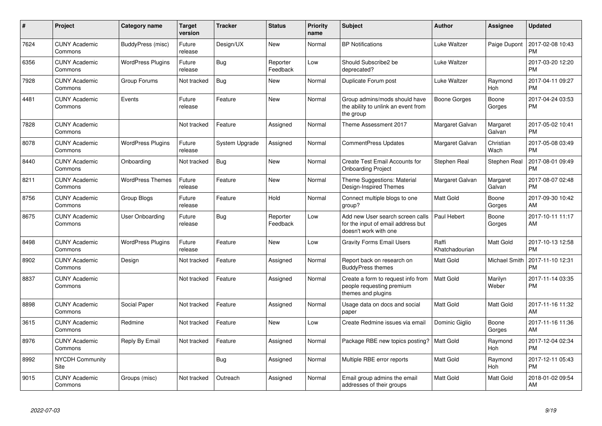| #    | Project                         | <b>Category name</b>     | <b>Target</b><br>version | <b>Tracker</b> | <b>Status</b>        | <b>Priority</b><br>name | <b>Subject</b>                                                                                  | <b>Author</b>           | <b>Assignee</b>    | <b>Updated</b>                |
|------|---------------------------------|--------------------------|--------------------------|----------------|----------------------|-------------------------|-------------------------------------------------------------------------------------------------|-------------------------|--------------------|-------------------------------|
| 7624 | <b>CUNY Academic</b><br>Commons | BuddyPress (misc)        | Future<br>release        | Design/UX      | <b>New</b>           | Normal                  | <b>BP</b> Notifications                                                                         | Luke Waltzer            | Paige Dupont       | 2017-02-08 10:43<br><b>PM</b> |
| 6356 | <b>CUNY Academic</b><br>Commons | <b>WordPress Plugins</b> | Future<br>release        | Bug            | Reporter<br>Feedback | Low                     | Should Subscribe2 be<br>deprecated?                                                             | Luke Waltzer            |                    | 2017-03-20 12:20<br><b>PM</b> |
| 7928 | <b>CUNY Academic</b><br>Commons | Group Forums             | Not tracked              | Bug            | New                  | Normal                  | Duplicate Forum post                                                                            | Luke Waltzer            | Raymond<br>Hoh     | 2017-04-11 09:27<br><b>PM</b> |
| 4481 | <b>CUNY Academic</b><br>Commons | Events                   | Future<br>release        | Feature        | New                  | Normal                  | Group admins/mods should have<br>the ability to unlink an event from<br>the group               | <b>Boone Gorges</b>     | Boone<br>Gorges    | 2017-04-24 03:53<br><b>PM</b> |
| 7828 | <b>CUNY Academic</b><br>Commons |                          | Not tracked              | Feature        | Assigned             | Normal                  | Theme Assessment 2017                                                                           | Margaret Galvan         | Margaret<br>Galvan | 2017-05-02 10:41<br><b>PM</b> |
| 8078 | <b>CUNY Academic</b><br>Commons | <b>WordPress Plugins</b> | Future<br>release        | System Upgrade | Assigned             | Normal                  | <b>CommentPress Updates</b>                                                                     | Margaret Galvan         | Christian<br>Wach  | 2017-05-08 03:49<br><b>PM</b> |
| 8440 | <b>CUNY Academic</b><br>Commons | Onboarding               | Not tracked              | Bug            | <b>New</b>           | Normal                  | Create Test Email Accounts for<br><b>Onboarding Project</b>                                     | Stephen Real            | Stephen Real       | 2017-08-01 09:49<br><b>PM</b> |
| 8211 | <b>CUNY Academic</b><br>Commons | <b>WordPress Themes</b>  | Future<br>release        | Feature        | <b>New</b>           | Normal                  | Theme Suggestions: Material<br>Design-Inspired Themes                                           | Margaret Galvan         | Margaret<br>Galvan | 2017-08-07 02:48<br><b>PM</b> |
| 8756 | <b>CUNY Academic</b><br>Commons | Group Blogs              | Future<br>release        | Feature        | Hold                 | Normal                  | Connect multiple blogs to one<br>group?                                                         | <b>Matt Gold</b>        | Boone<br>Gorges    | 2017-09-30 10:42<br>AM        |
| 8675 | <b>CUNY Academic</b><br>Commons | User Onboarding          | Future<br>release        | Bug            | Reporter<br>Feedback | Low                     | Add new User search screen calls<br>for the input of email address but<br>doesn't work with one | Paul Hebert             | Boone<br>Gorges    | 2017-10-11 11:17<br>AM        |
| 8498 | <b>CUNY Academic</b><br>Commons | <b>WordPress Plugins</b> | Future<br>release        | Feature        | New                  | Low                     | <b>Gravity Forms Email Users</b>                                                                | Raffi<br>Khatchadourian | Matt Gold          | 2017-10-13 12:58<br><b>PM</b> |
| 8902 | <b>CUNY Academic</b><br>Commons | Design                   | Not tracked              | Feature        | Assigned             | Normal                  | Report back on research on<br><b>BuddyPress themes</b>                                          | <b>Matt Gold</b>        | Michael Smith      | 2017-11-10 12:31<br><b>PM</b> |
| 8837 | <b>CUNY Academic</b><br>Commons |                          | Not tracked              | Feature        | Assigned             | Normal                  | Create a form to request info from<br>people requesting premium<br>themes and plugins           | <b>Matt Gold</b>        | Marilyn<br>Weber   | 2017-11-14 03:35<br><b>PM</b> |
| 8898 | <b>CUNY Academic</b><br>Commons | Social Paper             | Not tracked              | Feature        | Assigned             | Normal                  | Usage data on docs and social<br>paper                                                          | <b>Matt Gold</b>        | Matt Gold          | 2017-11-16 11:32<br>AM        |
| 3615 | <b>CUNY Academic</b><br>Commons | Redmine                  | Not tracked              | Feature        | <b>New</b>           | Low                     | Create Redmine issues via email                                                                 | Dominic Giglio          | Boone<br>Gorges    | 2017-11-16 11:36<br>AM        |
| 8976 | <b>CUNY Academic</b><br>Commons | Reply By Email           | Not tracked              | Feature        | Assigned             | Normal                  | Package RBE new topics posting?   Matt Gold                                                     |                         | Raymond<br>Hoh     | 2017-12-04 02:34<br><b>PM</b> |
| 8992 | <b>NYCDH Community</b><br>Site  |                          |                          | Bug            | Assigned             | Normal                  | Multiple RBE error reports                                                                      | Matt Gold               | Raymond<br>Hoh     | 2017-12-11 05:43<br><b>PM</b> |
| 9015 | <b>CUNY Academic</b><br>Commons | Groups (misc)            | Not tracked              | Outreach       | Assigned             | Normal                  | Email group admins the email<br>addresses of their groups                                       | Matt Gold               | Matt Gold          | 2018-01-02 09:54<br>AM        |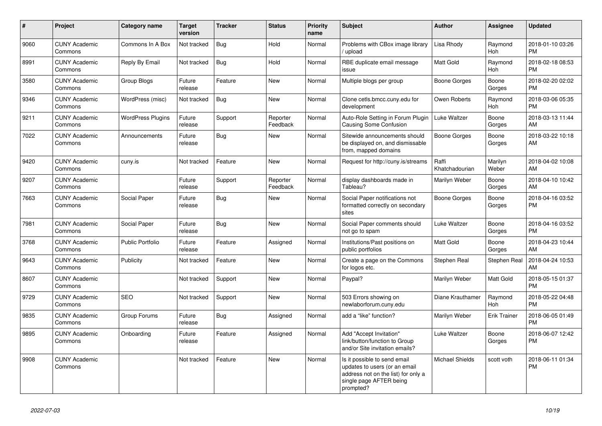| #    | <b>Project</b>                  | Category name            | <b>Target</b><br>version | <b>Tracker</b> | <b>Status</b>        | <b>Priority</b><br>name | <b>Subject</b>                                                                                                                               | <b>Author</b>           | Assignee            | <b>Updated</b>                |
|------|---------------------------------|--------------------------|--------------------------|----------------|----------------------|-------------------------|----------------------------------------------------------------------------------------------------------------------------------------------|-------------------------|---------------------|-------------------------------|
| 9060 | <b>CUNY Academic</b><br>Commons | Commons In A Box         | Not tracked              | <b>Bug</b>     | Hold                 | Normal                  | Problems with CBox image library<br>/ upload                                                                                                 | Lisa Rhody              | Raymond<br>Hoh      | 2018-01-10 03:26<br><b>PM</b> |
| 8991 | <b>CUNY Academic</b><br>Commons | Reply By Email           | Not tracked              | Bug            | Hold                 | Normal                  | RBE duplicate email message<br>issue                                                                                                         | Matt Gold               | Raymond<br>Hoh      | 2018-02-18 08:53<br><b>PM</b> |
| 3580 | <b>CUNY Academic</b><br>Commons | Group Blogs              | Future<br>release        | Feature        | New                  | Normal                  | Multiple blogs per group                                                                                                                     | Boone Gorges            | Boone<br>Gorges     | 2018-02-20 02:02<br><b>PM</b> |
| 9346 | <b>CUNY Academic</b><br>Commons | WordPress (misc)         | Not tracked              | <b>Bug</b>     | <b>New</b>           | Normal                  | Clone cetls.bmcc.cuny.edu for<br>development                                                                                                 | Owen Roberts            | Raymond<br>Hoh      | 2018-03-06 05:35<br><b>PM</b> |
| 9211 | <b>CUNY Academic</b><br>Commons | <b>WordPress Plugins</b> | Future<br>release        | Support        | Reporter<br>Feedback | Normal                  | Auto-Role Setting in Forum Plugin<br>Causing Some Confusion                                                                                  | Luke Waltzer            | Boone<br>Gorges     | 2018-03-13 11:44<br>AM        |
| 7022 | <b>CUNY Academic</b><br>Commons | Announcements            | Future<br>release        | Bug            | New                  | Normal                  | Sitewide announcements should<br>be displayed on, and dismissable<br>from, mapped domains                                                    | Boone Gorges            | Boone<br>Gorges     | 2018-03-22 10:18<br>AM        |
| 9420 | <b>CUNY Academic</b><br>Commons | cuny.is                  | Not tracked              | Feature        | <b>New</b>           | Normal                  | Request for http://cuny.is/streams                                                                                                           | Raffi<br>Khatchadourian | Marilyn<br>Weber    | 2018-04-02 10:08<br>AM        |
| 9207 | <b>CUNY Academic</b><br>Commons |                          | Future<br>release        | Support        | Reporter<br>Feedback | Normal                  | display dashboards made in<br>Tableau?                                                                                                       | Marilyn Weber           | Boone<br>Gorges     | 2018-04-10 10:42<br>AM        |
| 7663 | <b>CUNY Academic</b><br>Commons | Social Paper             | Future<br>release        | Bug            | New                  | Normal                  | Social Paper notifications not<br>formatted correctly on secondary<br>sites                                                                  | Boone Gorges            | Boone<br>Gorges     | 2018-04-16 03:52<br><b>PM</b> |
| 7981 | <b>CUNY Academic</b><br>Commons | Social Paper             | Future<br>release        | Bug            | <b>New</b>           | Normal                  | Social Paper comments should<br>not go to spam                                                                                               | Luke Waltzer            | Boone<br>Gorges     | 2018-04-16 03:52<br><b>PM</b> |
| 3768 | <b>CUNY Academic</b><br>Commons | <b>Public Portfolio</b>  | Future<br>release        | Feature        | Assigned             | Normal                  | Institutions/Past positions on<br>public portfolios                                                                                          | Matt Gold               | Boone<br>Gorges     | 2018-04-23 10:44<br>AM        |
| 9643 | <b>CUNY Academic</b><br>Commons | <b>Publicity</b>         | Not tracked              | Feature        | <b>New</b>           | Normal                  | Create a page on the Commons<br>for logos etc.                                                                                               | Stephen Real            | Stephen Real        | 2018-04-24 10:53<br>AM        |
| 8607 | <b>CUNY Academic</b><br>Commons |                          | Not tracked              | Support        | <b>New</b>           | Normal                  | Paypal?                                                                                                                                      | Marilyn Weber           | Matt Gold           | 2018-05-15 01:37<br><b>PM</b> |
| 9729 | <b>CUNY Academic</b><br>Commons | <b>SEO</b>               | Not tracked              | Support        | <b>New</b>           | Normal                  | 503 Errors showing on<br>newlaborforum.cuny.edu                                                                                              | Diane Krauthamer        | Raymond<br>Hoh      | 2018-05-22 04:48<br><b>PM</b> |
| 9835 | <b>CUNY Academic</b><br>Commons | Group Forums             | Future<br>release        | Bug            | Assigned             | Normal                  | add a "like" function?                                                                                                                       | Marilyn Weber           | <b>Erik Trainer</b> | 2018-06-05 01:49<br><b>PM</b> |
| 9895 | <b>CUNY Academic</b><br>Commons | Onboarding               | Future<br>release        | Feature        | Assigned             | Normal                  | Add "Accept Invitation"<br>link/button/function to Group<br>and/or Site invitation emails?                                                   | Luke Waltzer            | Boone<br>Gorges     | 2018-06-07 12:42<br><b>PM</b> |
| 9908 | <b>CUNY Academic</b><br>Commons |                          | Not tracked              | Feature        | New                  | Normal                  | Is it possible to send email<br>updates to users (or an email<br>address not on the list) for only a<br>single page AFTER being<br>prompted? | <b>Michael Shields</b>  | scott voth          | 2018-06-11 01:34<br><b>PM</b> |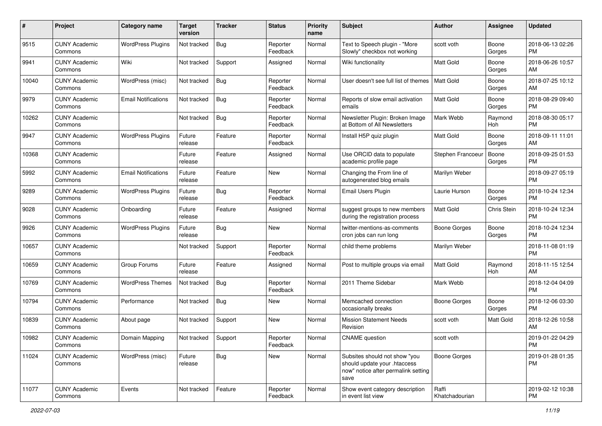| #     | Project                         | <b>Category name</b>       | <b>Target</b><br>version | <b>Tracker</b> | <b>Status</b>        | Priority<br>name | <b>Subject</b>                                                                                               | Author                  | <b>Assignee</b> | <b>Updated</b>                |
|-------|---------------------------------|----------------------------|--------------------------|----------------|----------------------|------------------|--------------------------------------------------------------------------------------------------------------|-------------------------|-----------------|-------------------------------|
| 9515  | <b>CUNY Academic</b><br>Commons | <b>WordPress Plugins</b>   | Not tracked              | Bug            | Reporter<br>Feedback | Normal           | Text to Speech plugin - "More<br>Slowly" checkbox not working                                                | scott voth              | Boone<br>Gorges | 2018-06-13 02:26<br><b>PM</b> |
| 9941  | <b>CUNY Academic</b><br>Commons | Wiki                       | Not tracked              | Support        | Assigned             | Normal           | Wiki functionality                                                                                           | Matt Gold               | Boone<br>Gorges | 2018-06-26 10:57<br>AM        |
| 10040 | <b>CUNY Academic</b><br>Commons | WordPress (misc)           | Not tracked              | Bug            | Reporter<br>Feedback | Normal           | User doesn't see full list of themes                                                                         | <b>Matt Gold</b>        | Boone<br>Gorges | 2018-07-25 10:12<br>AM        |
| 9979  | <b>CUNY Academic</b><br>Commons | <b>Email Notifications</b> | Not tracked              | <b>Bug</b>     | Reporter<br>Feedback | Normal           | Reports of slow email activation<br>emails                                                                   | <b>Matt Gold</b>        | Boone<br>Gorges | 2018-08-29 09:40<br><b>PM</b> |
| 10262 | <b>CUNY Academic</b><br>Commons |                            | Not tracked              | Bug            | Reporter<br>Feedback | Normal           | Newsletter Plugin: Broken Image<br>at Bottom of All Newsletters                                              | Mark Webb               | Raymond<br>Hoh  | 2018-08-30 05:17<br><b>PM</b> |
| 9947  | <b>CUNY Academic</b><br>Commons | <b>WordPress Plugins</b>   | Future<br>release        | Feature        | Reporter<br>Feedback | Normal           | Install H5P quiz plugin                                                                                      | <b>Matt Gold</b>        | Boone<br>Gorges | 2018-09-11 11:01<br>AM        |
| 10368 | <b>CUNY Academic</b><br>Commons |                            | Future<br>release        | Feature        | Assigned             | Normal           | Use ORCID data to populate<br>academic profile page                                                          | Stephen Francoeu        | Boone<br>Gorges | 2018-09-25 01:53<br><b>PM</b> |
| 5992  | <b>CUNY Academic</b><br>Commons | <b>Email Notifications</b> | Future<br>release        | Feature        | <b>New</b>           | Normal           | Changing the From line of<br>autogenerated blog emails                                                       | Marilyn Weber           |                 | 2018-09-27 05:19<br><b>PM</b> |
| 9289  | <b>CUNY Academic</b><br>Commons | <b>WordPress Plugins</b>   | Future<br>release        | Bug            | Reporter<br>Feedback | Normal           | Email Users Plugin                                                                                           | Laurie Hurson           | Boone<br>Gorges | 2018-10-24 12:34<br><b>PM</b> |
| 9028  | <b>CUNY Academic</b><br>Commons | Onboarding                 | Future<br>release        | Feature        | Assigned             | Normal           | suggest groups to new members<br>during the registration process                                             | Matt Gold               | Chris Stein     | 2018-10-24 12:34<br><b>PM</b> |
| 9926  | <b>CUNY Academic</b><br>Commons | <b>WordPress Plugins</b>   | Future<br>release        | Bug            | <b>New</b>           | Normal           | twitter-mentions-as-comments<br>cron jobs can run long                                                       | Boone Gorges            | Boone<br>Gorges | 2018-10-24 12:34<br><b>PM</b> |
| 10657 | <b>CUNY Academic</b><br>Commons |                            | Not tracked              | Support        | Reporter<br>Feedback | Normal           | child theme problems                                                                                         | Marilyn Weber           |                 | 2018-11-08 01:19<br><b>PM</b> |
| 10659 | <b>CUNY Academic</b><br>Commons | Group Forums               | Future<br>release        | Feature        | Assigned             | Normal           | Post to multiple groups via email                                                                            | <b>Matt Gold</b>        | Raymond<br>Hoh  | 2018-11-15 12:54<br>AM        |
| 10769 | <b>CUNY Academic</b><br>Commons | <b>WordPress Themes</b>    | Not tracked              | Bug            | Reporter<br>Feedback | Normal           | 2011 Theme Sidebar                                                                                           | Mark Webb               |                 | 2018-12-04 04:09<br><b>PM</b> |
| 10794 | <b>CUNY Academic</b><br>Commons | Performance                | Not tracked              | Bug            | New                  | Normal           | Memcached connection<br>occasionally breaks                                                                  | <b>Boone Gorges</b>     | Boone<br>Gorges | 2018-12-06 03:30<br><b>PM</b> |
| 10839 | <b>CUNY Academic</b><br>Commons | About page                 | Not tracked              | Support        | New                  | Normal           | <b>Mission Statement Needs</b><br>Revision                                                                   | scott voth              | Matt Gold       | 2018-12-26 10:58<br>AM        |
| 10982 | <b>CUNY Academic</b><br>Commons | Domain Mapping             | Not tracked              | Support        | Reporter<br>Feedback | Normal           | <b>CNAME</b> question                                                                                        | scott voth              |                 | 2019-01-22 04:29<br>PM        |
| 11024 | <b>CUNY Academic</b><br>Commons | WordPress (misc)           | Future<br>release        | <b>Bug</b>     | New                  | Normal           | Subsites should not show "you<br>should update your .htaccess<br>now" notice after permalink setting<br>save | <b>Boone Gorges</b>     |                 | 2019-01-28 01:35<br>PM.       |
| 11077 | <b>CUNY Academic</b><br>Commons | Events                     | Not tracked              | Feature        | Reporter<br>Feedback | Normal           | Show event category description<br>in event list view                                                        | Raffi<br>Khatchadourian |                 | 2019-02-12 10:38<br><b>PM</b> |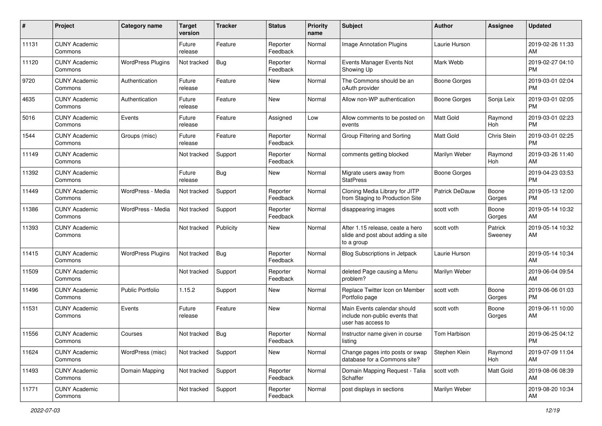| #     | Project                         | <b>Category name</b>     | <b>Target</b><br>version | <b>Tracker</b> | <b>Status</b>        | <b>Priority</b><br>name | <b>Subject</b>                                                                       | <b>Author</b>       | <b>Assignee</b>    | <b>Updated</b>                |
|-------|---------------------------------|--------------------------|--------------------------|----------------|----------------------|-------------------------|--------------------------------------------------------------------------------------|---------------------|--------------------|-------------------------------|
| 11131 | <b>CUNY Academic</b><br>Commons |                          | Future<br>release        | Feature        | Reporter<br>Feedback | Normal                  | <b>Image Annotation Plugins</b>                                                      | Laurie Hurson       |                    | 2019-02-26 11:33<br>AM        |
| 11120 | <b>CUNY Academic</b><br>Commons | <b>WordPress Plugins</b> | Not tracked              | Bug            | Reporter<br>Feedback | Normal                  | Events Manager Events Not<br>Showing Up                                              | Mark Webb           |                    | 2019-02-27 04:10<br><b>PM</b> |
| 9720  | <b>CUNY Academic</b><br>Commons | Authentication           | Future<br>release        | Feature        | New                  | Normal                  | The Commons should be an<br>oAuth provider                                           | Boone Gorges        |                    | 2019-03-01 02:04<br><b>PM</b> |
| 4635  | <b>CUNY Academic</b><br>Commons | Authentication           | Future<br>release        | Feature        | New                  | Normal                  | Allow non-WP authentication                                                          | Boone Gorges        | Sonja Leix         | 2019-03-01 02:05<br><b>PM</b> |
| 5016  | <b>CUNY Academic</b><br>Commons | Events                   | Future<br>release        | Feature        | Assigned             | Low                     | Allow comments to be posted on<br>events                                             | <b>Matt Gold</b>    | Raymond<br>Hoh     | 2019-03-01 02:23<br><b>PM</b> |
| 1544  | <b>CUNY Academic</b><br>Commons | Groups (misc)            | Future<br>release        | Feature        | Reporter<br>Feedback | Normal                  | Group Filtering and Sorting                                                          | <b>Matt Gold</b>    | Chris Stein        | 2019-03-01 02:25<br><b>PM</b> |
| 11149 | <b>CUNY Academic</b><br>Commons |                          | Not tracked              | Support        | Reporter<br>Feedback | Normal                  | comments getting blocked                                                             | Marilyn Weber       | Raymond<br>Hoh     | 2019-03-26 11:40<br>AM        |
| 11392 | <b>CUNY Academic</b><br>Commons |                          | Future<br>release        | Bug            | New                  | Normal                  | Migrate users away from<br><b>StatPress</b>                                          | <b>Boone Gorges</b> |                    | 2019-04-23 03:53<br><b>PM</b> |
| 11449 | <b>CUNY Academic</b><br>Commons | WordPress - Media        | Not tracked              | Support        | Reporter<br>Feedback | Normal                  | Cloning Media Library for JITP<br>from Staging to Production Site                    | Patrick DeDauw      | Boone<br>Gorges    | 2019-05-13 12:00<br><b>PM</b> |
| 11386 | <b>CUNY Academic</b><br>Commons | WordPress - Media        | Not tracked              | Support        | Reporter<br>Feedback | Normal                  | disappearing images                                                                  | scott voth          | Boone<br>Gorges    | 2019-05-14 10:32<br>AM        |
| 11393 | <b>CUNY Academic</b><br>Commons |                          | Not tracked              | Publicity      | New                  | Normal                  | After 1.15 release, ceate a hero<br>slide and post about adding a site<br>to a group | scott voth          | Patrick<br>Sweeney | 2019-05-14 10:32<br>AM        |
| 11415 | <b>CUNY Academic</b><br>Commons | <b>WordPress Plugins</b> | Not tracked              | Bug            | Reporter<br>Feedback | Normal                  | <b>Blog Subscriptions in Jetpack</b>                                                 | Laurie Hurson       |                    | 2019-05-14 10:34<br>AM        |
| 11509 | <b>CUNY Academic</b><br>Commons |                          | Not tracked              | Support        | Reporter<br>Feedback | Normal                  | deleted Page causing a Menu<br>problem?                                              | Marilyn Weber       |                    | 2019-06-04 09:54<br>AM        |
| 11496 | <b>CUNY Academic</b><br>Commons | <b>Public Portfolio</b>  | 1.15.2                   | Support        | New                  | Normal                  | Replace Twitter Icon on Member<br>Portfolio page                                     | scott voth          | Boone<br>Gorges    | 2019-06-06 01:03<br><b>PM</b> |
| 11531 | <b>CUNY Academic</b><br>Commons | Events                   | Future<br>release        | Feature        | New                  | Normal                  | Main Events calendar should<br>include non-public events that<br>user has access to  | scott voth          | Boone<br>Gorges    | 2019-06-11 10:00<br>AM        |
| 11556 | <b>CUNY Academic</b><br>Commons | Courses                  | Not tracked              | Bug            | Reporter<br>Feedback | Normal                  | Instructor name given in course<br>listing                                           | Tom Harbison        |                    | 2019-06-25 04:12<br>PM        |
| 11624 | <b>CUNY Academic</b><br>Commons | WordPress (misc)         | Not tracked              | Support        | New                  | Normal                  | Change pages into posts or swap<br>database for a Commons site?                      | Stephen Klein       | Raymond<br>Hoh     | 2019-07-09 11:04<br>AM        |
| 11493 | <b>CUNY Academic</b><br>Commons | Domain Mapping           | Not tracked              | Support        | Reporter<br>Feedback | Normal                  | Domain Mapping Request - Talia<br>Schaffer                                           | scott voth          | Matt Gold          | 2019-08-06 08:39<br>AM        |
| 11771 | <b>CUNY Academic</b><br>Commons |                          | Not tracked              | Support        | Reporter<br>Feedback | Normal                  | post displays in sections                                                            | Marilyn Weber       |                    | 2019-08-20 10:34<br>AM        |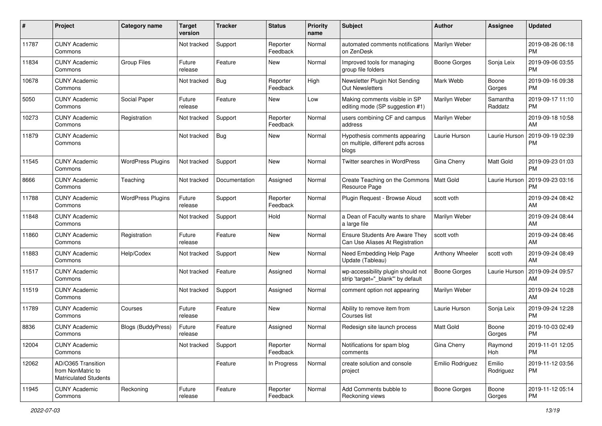| #     | Project                                                                 | <b>Category name</b>      | <b>Target</b><br>version | Tracker       | <b>Status</b>        | Priority<br>name | <b>Subject</b>                                                               | <b>Author</b>       | <b>Assignee</b>     | <b>Updated</b>                |
|-------|-------------------------------------------------------------------------|---------------------------|--------------------------|---------------|----------------------|------------------|------------------------------------------------------------------------------|---------------------|---------------------|-------------------------------|
| 11787 | <b>CUNY Academic</b><br>Commons                                         |                           | Not tracked              | Support       | Reporter<br>Feedback | Normal           | automated comments notifications<br>on ZenDesk                               | Marilyn Weber       |                     | 2019-08-26 06:18<br><b>PM</b> |
| 11834 | <b>CUNY Academic</b><br>Commons                                         | <b>Group Files</b>        | Future<br>release        | Feature       | New                  | Normal           | Improved tools for managing<br>group file folders                            | <b>Boone Gorges</b> | Sonja Leix          | 2019-09-06 03:55<br><b>PM</b> |
| 10678 | <b>CUNY Academic</b><br>Commons                                         |                           | Not tracked              | Bug           | Reporter<br>Feedback | High             | Newsletter Plugin Not Sending<br>Out Newsletters                             | Mark Webb           | Boone<br>Gorges     | 2019-09-16 09:38<br><b>PM</b> |
| 5050  | <b>CUNY Academic</b><br>Commons                                         | Social Paper              | Future<br>release        | Feature       | New                  | Low              | Making comments visible in SP<br>editing mode (SP suggestion #1)             | Marilyn Weber       | Samantha<br>Raddatz | 2019-09-17 11:10<br><b>PM</b> |
| 10273 | <b>CUNY Academic</b><br>Commons                                         | Registration              | Not tracked              | Support       | Reporter<br>Feedback | Normal           | users combining CF and campus<br>address                                     | Marilyn Weber       |                     | 2019-09-18 10:58<br>AM        |
| 11879 | <b>CUNY Academic</b><br>Commons                                         |                           | Not tracked              | Bug           | New                  | Normal           | Hypothesis comments appearing<br>on multiple, different pdfs across<br>blogs | Laurie Hurson       | Laurie Hurson       | 2019-09-19 02:39<br><b>PM</b> |
| 11545 | <b>CUNY Academic</b><br>Commons                                         | <b>WordPress Plugins</b>  | Not tracked              | Support       | New                  | Normal           | <b>Twitter searches in WordPress</b>                                         | Gina Cherry         | Matt Gold           | 2019-09-23 01:03<br><b>PM</b> |
| 8666  | <b>CUNY Academic</b><br>Commons                                         | Teaching                  | Not tracked              | Documentation | Assigned             | Normal           | Create Teaching on the Commons<br>Resource Page                              | Matt Gold           | Laurie Hurson       | 2019-09-23 03:16<br><b>PM</b> |
| 11788 | <b>CUNY Academic</b><br>Commons                                         | <b>WordPress Plugins</b>  | Future<br>release        | Support       | Reporter<br>Feedback | Normal           | Plugin Request - Browse Aloud                                                | scott voth          |                     | 2019-09-24 08:42<br>AM        |
| 11848 | <b>CUNY Academic</b><br>Commons                                         |                           | Not tracked              | Support       | Hold                 | Normal           | a Dean of Faculty wants to share<br>a large file                             | Marilyn Weber       |                     | 2019-09-24 08:44<br>AM        |
| 11860 | <b>CUNY Academic</b><br>Commons                                         | Registration              | Future<br>release        | Feature       | <b>New</b>           | Normal           | Ensure Students Are Aware They<br>Can Use Aliases At Registration            | scott voth          |                     | 2019-09-24 08:46<br>AM        |
| 11883 | <b>CUNY Academic</b><br>Commons                                         | Help/Codex                | Not tracked              | Support       | <b>New</b>           | Normal           | Need Embedding Help Page<br>Update (Tableau)                                 | Anthony Wheeler     | scott voth          | 2019-09-24 08:49<br>AM        |
| 11517 | <b>CUNY Academic</b><br>Commons                                         |                           | Not tracked              | Feature       | Assigned             | Normal           | wp-accessibility plugin should not<br>strip 'target="_blank" by default      | <b>Boone Gorges</b> | Laurie Hurson       | 2019-09-24 09:57<br>AM        |
| 11519 | <b>CUNY Academic</b><br>Commons                                         |                           | Not tracked              | Support       | Assigned             | Normal           | comment option not appearing                                                 | Marilyn Weber       |                     | 2019-09-24 10:28<br>AM        |
| 11789 | <b>CUNY Academic</b><br>Commons                                         | Courses                   | Future<br>release        | Feature       | <b>New</b>           | Normal           | Ability to remove item from<br>Courses list                                  | Laurie Hurson       | Sonja Leix          | 2019-09-24 12:28<br><b>PM</b> |
| 8836  | <b>CUNY Academic</b><br>Commons                                         | <b>Blogs (BuddyPress)</b> | Future<br>release        | Feature       | Assigned             | Normal           | Redesign site launch process                                                 | <b>Matt Gold</b>    | Boone<br>Gorges     | 2019-10-03 02:49<br><b>PM</b> |
| 12004 | <b>CUNY Academic</b><br>Commons                                         |                           | Not tracked              | Support       | Reporter<br>Feedback | Normal           | Notifications for spam blog<br>comments                                      | Gina Cherry         | Raymond<br>Hoh      | 2019-11-01 12:05<br><b>PM</b> |
| 12062 | AD/O365 Transition<br>from NonMatric to<br><b>Matriculated Students</b> |                           |                          | Feature       | In Progress          | Normal           | create solution and console<br>project                                       | Emilio Rodriguez    | Emilio<br>Rodriguez | 2019-11-12 03:56<br><b>PM</b> |
| 11945 | <b>CUNY Academic</b><br>Commons                                         | Reckoning                 | Future<br>release        | Feature       | Reporter<br>Feedback | Normal           | Add Comments bubble to<br>Reckoning views                                    | Boone Gorges        | Boone<br>Gorges     | 2019-11-12 05:14<br><b>PM</b> |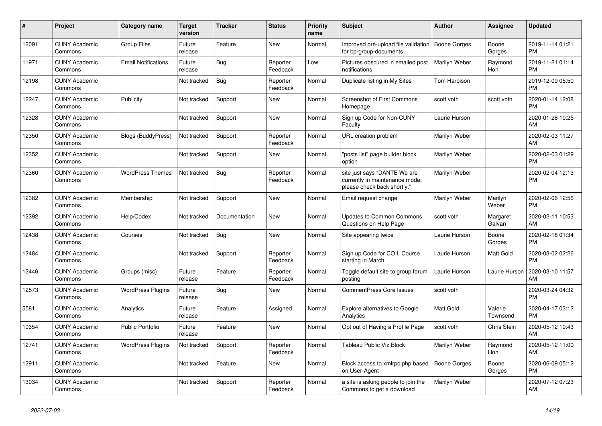| $\vert$ # | <b>Project</b>                  | Category name              | <b>Target</b><br>version | <b>Tracker</b> | <b>Status</b>        | <b>Priority</b><br>name | <b>Subject</b>                                                                                | <b>Author</b>       | Assignee            | <b>Updated</b>                |
|-----------|---------------------------------|----------------------------|--------------------------|----------------|----------------------|-------------------------|-----------------------------------------------------------------------------------------------|---------------------|---------------------|-------------------------------|
| 12091     | <b>CUNY Academic</b><br>Commons | <b>Group Files</b>         | Future<br>release        | Feature        | <b>New</b>           | Normal                  | Improved pre-upload file validation<br>for bp-group-documents                                 | <b>Boone Gorges</b> | Boone<br>Gorges     | 2019-11-14 01:21<br><b>PM</b> |
| 11971     | <b>CUNY Academic</b><br>Commons | <b>Email Notifications</b> | Future<br>release        | Bug            | Reporter<br>Feedback | Low                     | Pictures obscured in emailed post<br>notifications                                            | Marilyn Weber       | Raymond<br>Hoh      | 2019-11-21 01:14<br><b>PM</b> |
| 12198     | <b>CUNY Academic</b><br>Commons |                            | Not tracked              | Bug            | Reporter<br>Feedback | Normal                  | Duplicate listing in My Sites                                                                 | Tom Harbison        |                     | 2019-12-09 05:50<br><b>PM</b> |
| 12247     | <b>CUNY Academic</b><br>Commons | Publicity                  | Not tracked              | Support        | <b>New</b>           | Normal                  | <b>Screenshot of First Commons</b><br>Homepage                                                | scott voth          | scott voth          | 2020-01-14 12:08<br><b>PM</b> |
| 12328     | <b>CUNY Academic</b><br>Commons |                            | Not tracked              | Support        | <b>New</b>           | Normal                  | Sign up Code for Non-CUNY<br>Faculty                                                          | Laurie Hurson       |                     | 2020-01-28 10:25<br>AM        |
| 12350     | <b>CUNY Academic</b><br>Commons | Blogs (BuddyPress)         | Not tracked              | Support        | Reporter<br>Feedback | Normal                  | URL creation problem                                                                          | Marilyn Weber       |                     | 2020-02-03 11:27<br>AM        |
| 12352     | <b>CUNY Academic</b><br>Commons |                            | Not tracked              | Support        | <b>New</b>           | Normal                  | "posts list" page builder block<br>option                                                     | Marilyn Weber       |                     | 2020-02-03 01:29<br><b>PM</b> |
| 12360     | <b>CUNY Academic</b><br>Commons | <b>WordPress Themes</b>    | Not tracked              | Bug            | Reporter<br>Feedback | Normal                  | site just says "DANTE We are<br>currently in maintenance mode,<br>please check back shortly." | Marilyn Weber       |                     | 2020-02-04 12:13<br><b>PM</b> |
| 12382     | <b>CUNY Academic</b><br>Commons | Membership                 | Not tracked              | Support        | <b>New</b>           | Normal                  | Email request change                                                                          | Marilyn Weber       | Marilyn<br>Weber    | 2020-02-06 12:56<br><b>PM</b> |
| 12392     | <b>CUNY Academic</b><br>Commons | Help/Codex                 | Not tracked              | Documentation  | <b>New</b>           | Normal                  | <b>Updates to Common Commons</b><br>Questions on Help Page                                    | scott voth          | Margaret<br>Galvan  | 2020-02-11 10:53<br>AM        |
| 12438     | <b>CUNY Academic</b><br>Commons | Courses                    | Not tracked              | Bug            | <b>New</b>           | Normal                  | Site appearing twice                                                                          | Laurie Hurson       | Boone<br>Gorges     | 2020-02-18 01:34<br><b>PM</b> |
| 12484     | <b>CUNY Academic</b><br>Commons |                            | Not tracked              | Support        | Reporter<br>Feedback | Normal                  | Sign up Code for COIL Course<br>starting in March                                             | Laurie Hurson       | Matt Gold           | 2020-03-02 02:26<br><b>PM</b> |
| 12446     | <b>CUNY Academic</b><br>Commons | Groups (misc)              | Future<br>release        | Feature        | Reporter<br>Feedback | Normal                  | Toggle default site to group forum<br>posting                                                 | Laurie Hurson       | Laurie Hurson       | 2020-03-10 11:57<br>AM        |
| 12573     | <b>CUNY Academic</b><br>Commons | <b>WordPress Plugins</b>   | Future<br>release        | <b>Bug</b>     | New                  | Normal                  | CommentPress Core Issues                                                                      | scott voth          |                     | 2020-03-24 04:32<br><b>PM</b> |
| 5581      | <b>CUNY Academic</b><br>Commons | Analytics                  | Future<br>release        | Feature        | Assigned             | Normal                  | Explore alternatives to Google<br>Analytics                                                   | <b>Matt Gold</b>    | Valerie<br>Townsend | 2020-04-17 03:12<br>PM        |
| 10354     | <b>CUNY Academic</b><br>Commons | <b>Public Portfolio</b>    | Future<br>release        | Feature        | <b>New</b>           | Normal                  | Opt out of Having a Profile Page                                                              | scott voth          | Chris Stein         | 2020-05-12 10:43<br>AM        |
| 12741     | <b>CUNY Academic</b><br>Commons | <b>WordPress Plugins</b>   | Not tracked              | Support        | Reporter<br>Feedback | Normal                  | Tableau Public Viz Block                                                                      | Marilyn Weber       | Raymond<br>Hoh      | 2020-05-12 11:00<br>AM        |
| 12911     | <b>CUNY Academic</b><br>Commons |                            | Not tracked              | Feature        | New                  | Normal                  | Block access to xmlrpc.php based<br>on User-Agent                                             | <b>Boone Gorges</b> | Boone<br>Gorges     | 2020-06-09 05:12<br><b>PM</b> |
| 13034     | <b>CUNY Academic</b><br>Commons |                            | Not tracked              | Support        | Reporter<br>Feedback | Normal                  | a site is asking people to join the<br>Commons to get a download                              | Marilyn Weber       |                     | 2020-07-12 07:23<br>AM        |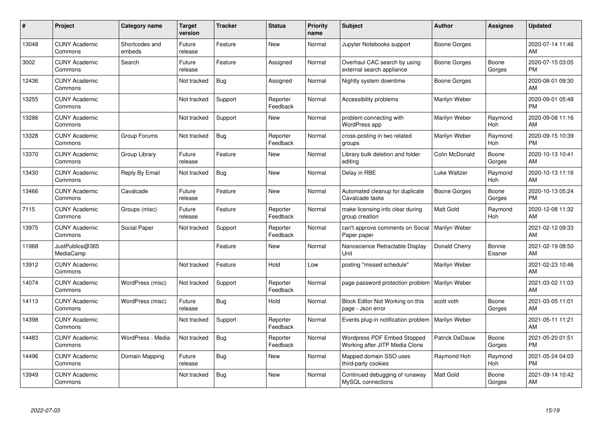| #     | Project                         | <b>Category name</b>     | <b>Target</b><br>version | <b>Tracker</b> | <b>Status</b>        | <b>Priority</b><br>name | <b>Subject</b>                                                | <b>Author</b>    | <b>Assignee</b>   | <b>Updated</b>                |
|-------|---------------------------------|--------------------------|--------------------------|----------------|----------------------|-------------------------|---------------------------------------------------------------|------------------|-------------------|-------------------------------|
| 13048 | <b>CUNY Academic</b><br>Commons | Shortcodes and<br>embeds | Future<br>release        | Feature        | <b>New</b>           | Normal                  | Jupyter Notebooks support                                     | Boone Gorges     |                   | 2020-07-14 11:46<br>AM        |
| 3002  | <b>CUNY Academic</b><br>Commons | Search                   | Future<br>release        | Feature        | Assigned             | Normal                  | Overhaul CAC search by using<br>external search appliance     | Boone Gorges     | Boone<br>Gorges   | 2020-07-15 03:05<br><b>PM</b> |
| 12436 | <b>CUNY Academic</b><br>Commons |                          | Not tracked              | Bug            | Assigned             | Normal                  | Nightly system downtime                                       | Boone Gorges     |                   | 2020-08-01 09:30<br>AM        |
| 13255 | <b>CUNY Academic</b><br>Commons |                          | Not tracked              | Support        | Reporter<br>Feedback | Normal                  | Accessibility problems                                        | Marilyn Weber    |                   | 2020-09-01 05:48<br><b>PM</b> |
| 13286 | <b>CUNY Academic</b><br>Commons |                          | Not tracked              | Support        | New                  | Normal                  | problem connecting with<br>WordPress app                      | Marilyn Weber    | Raymond<br>Hoh    | 2020-09-08 11:16<br>AM        |
| 13328 | <b>CUNY Academic</b><br>Commons | Group Forums             | Not tracked              | <b>Bug</b>     | Reporter<br>Feedback | Normal                  | cross-posting in two related<br>groups                        | Marilyn Weber    | Raymond<br>Hoh    | 2020-09-15 10:39<br><b>PM</b> |
| 13370 | <b>CUNY Academic</b><br>Commons | Group Library            | Future<br>release        | Feature        | <b>New</b>           | Normal                  | Library bulk deletion and folder<br>editing                   | Colin McDonald   | Boone<br>Gorges   | 2020-10-13 10:41<br>AM        |
| 13430 | <b>CUNY Academic</b><br>Commons | Reply By Email           | Not tracked              | Bug            | <b>New</b>           | Normal                  | Delay in RBE                                                  | Luke Waltzer     | Raymond<br>Hoh    | 2020-10-13 11:16<br>AM        |
| 13466 | <b>CUNY Academic</b><br>Commons | Cavalcade                | Future<br>release        | Feature        | <b>New</b>           | Normal                  | Automated cleanup for duplicate<br>Cavalcade tasks            | Boone Gorges     | Boone<br>Gorges   | 2020-10-13 05:24<br><b>PM</b> |
| 7115  | <b>CUNY Academic</b><br>Commons | Groups (misc)            | Future<br>release        | Feature        | Reporter<br>Feedback | Normal                  | make licensing info clear during<br>group creation            | Matt Gold        | Raymond<br>Hoh    | 2020-12-08 11:32<br>AM        |
| 13975 | <b>CUNY Academic</b><br>Commons | Social Paper             | Not tracked              | Support        | Reporter<br>Feedback | Normal                  | can't approve comments on Social<br>Paper paper               | Marilyn Weber    |                   | 2021-02-12 09:33<br>AM        |
| 11968 | JustPublics@365<br>MediaCamp    |                          |                          | Feature        | <b>New</b>           | Normal                  | Nanoscience Retractable Display<br>Unit                       | Donald Cherry    | Bonnie<br>Eissner | 2021-02-19 08:50<br>AM        |
| 13912 | <b>CUNY Academic</b><br>Commons |                          | Not tracked              | Feature        | Hold                 | Low                     | posting "missed schedule"                                     | Marilyn Weber    |                   | 2021-02-23 10:46<br>AM        |
| 14074 | <b>CUNY Academic</b><br>Commons | WordPress (misc)         | Not tracked              | Support        | Reporter<br>Feedback | Normal                  | page password protection problem                              | Marilyn Weber    |                   | 2021-03-02 11:03<br>AM        |
| 14113 | <b>CUNY Academic</b><br>Commons | WordPress (misc)         | Future<br>release        | <b>Bug</b>     | Hold                 | Normal                  | Block Editor Not Working on this<br>page - Json error         | scott voth       | Boone<br>Gorges   | 2021-03-05 11:01<br>AM        |
| 14398 | <b>CUNY Academic</b><br>Commons |                          | Not tracked              | Support        | Reporter<br>Feedback | Normal                  | Events plug-in notification problem                           | Marilyn Weber    |                   | 2021-05-11 11:21<br>AM        |
| 14483 | <b>CUNY Academic</b><br>Commons | WordPress - Media        | Not tracked              | Bug            | Reporter<br>Feedback | Normal                  | Wordpress PDF Embed Stopped<br>Working after JITP Media Clone | Patrick DeDauw   | Boone<br>Gorges   | 2021-05-20 01:51<br><b>PM</b> |
| 14496 | <b>CUNY Academic</b><br>Commons | Domain Mapping           | Future<br>release        | Bug            | New                  | Normal                  | Mapped domain SSO uses<br>third-party cookies                 | Raymond Hoh      | Raymond<br>Hoh    | 2021-05-24 04:03<br><b>PM</b> |
| 13949 | <b>CUNY Academic</b><br>Commons |                          | Not tracked              | <b>Bug</b>     | <b>New</b>           | Normal                  | Continued debugging of runaway<br>MySQL connections           | <b>Matt Gold</b> | Boone<br>Gorges   | 2021-09-14 10:42<br>AM        |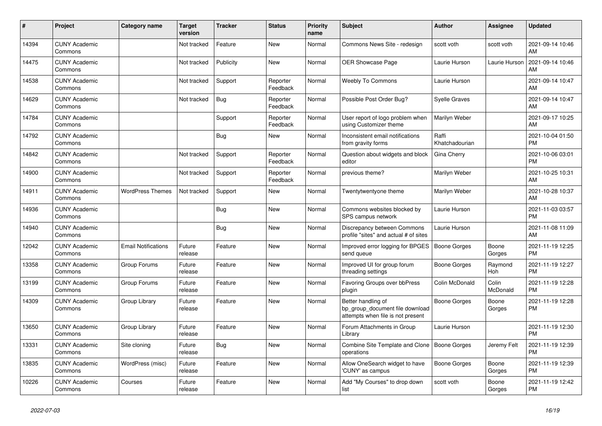| #     | Project                         | <b>Category name</b>       | <b>Target</b><br>version | <b>Tracker</b> | <b>Status</b>        | <b>Priority</b><br>name | <b>Subject</b>                                                                             | <b>Author</b>           | Assignee          | <b>Updated</b>                |
|-------|---------------------------------|----------------------------|--------------------------|----------------|----------------------|-------------------------|--------------------------------------------------------------------------------------------|-------------------------|-------------------|-------------------------------|
| 14394 | <b>CUNY Academic</b><br>Commons |                            | Not tracked              | Feature        | <b>New</b>           | Normal                  | Commons News Site - redesign                                                               | scott voth              | scott voth        | 2021-09-14 10:46<br>AM        |
| 14475 | <b>CUNY Academic</b><br>Commons |                            | Not tracked              | Publicity      | <b>New</b>           | Normal                  | <b>OER Showcase Page</b>                                                                   | Laurie Hurson           | Laurie Hurson     | 2021-09-14 10:46<br>AM        |
| 14538 | <b>CUNY Academic</b><br>Commons |                            | Not tracked              | Support        | Reporter<br>Feedback | Normal                  | <b>Weebly To Commons</b>                                                                   | Laurie Hurson           |                   | 2021-09-14 10:47<br>AM        |
| 14629 | <b>CUNY Academic</b><br>Commons |                            | Not tracked              | Bug            | Reporter<br>Feedback | Normal                  | Possible Post Order Bug?                                                                   | <b>Syelle Graves</b>    |                   | 2021-09-14 10:47<br>AM        |
| 14784 | <b>CUNY Academic</b><br>Commons |                            |                          | Support        | Reporter<br>Feedback | Normal                  | User report of logo problem when<br>using Customizer theme                                 | Marilyn Weber           |                   | 2021-09-17 10:25<br>AM        |
| 14792 | <b>CUNY Academic</b><br>Commons |                            |                          | <b>Bug</b>     | New                  | Normal                  | Inconsistent email notifications<br>from gravity forms                                     | Raffi<br>Khatchadourian |                   | 2021-10-04 01:50<br><b>PM</b> |
| 14842 | <b>CUNY Academic</b><br>Commons |                            | Not tracked              | Support        | Reporter<br>Feedback | Normal                  | Question about widgets and block<br>editor                                                 | Gina Cherry             |                   | 2021-10-06 03:01<br><b>PM</b> |
| 14900 | <b>CUNY Academic</b><br>Commons |                            | Not tracked              | Support        | Reporter<br>Feedback | Normal                  | previous theme?                                                                            | Marilyn Weber           |                   | 2021-10-25 10:31<br>AM        |
| 14911 | <b>CUNY Academic</b><br>Commons | <b>WordPress Themes</b>    | Not tracked              | Support        | New                  | Normal                  | Twentytwentyone theme                                                                      | Marilyn Weber           |                   | 2021-10-28 10:37<br>AM        |
| 14936 | <b>CUNY Academic</b><br>Commons |                            |                          | Bug            | <b>New</b>           | Normal                  | Commons websites blocked by<br>SPS campus network                                          | Laurie Hurson           |                   | 2021-11-03 03:57<br><b>PM</b> |
| 14940 | <b>CUNY Academic</b><br>Commons |                            |                          | Bug            | <b>New</b>           | Normal                  | Discrepancy between Commons<br>profile "sites" and actual # of sites                       | Laurie Hurson           |                   | 2021-11-08 11:09<br>AM        |
| 12042 | <b>CUNY Academic</b><br>Commons | <b>Email Notifications</b> | Future<br>release        | Feature        | <b>New</b>           | Normal                  | Improved error logging for BPGES<br>send queue                                             | <b>Boone Gorges</b>     | Boone<br>Gorges   | 2021-11-19 12:25<br><b>PM</b> |
| 13358 | <b>CUNY Academic</b><br>Commons | Group Forums               | Future<br>release        | Feature        | <b>New</b>           | Normal                  | Improved UI for group forum<br>threading settings                                          | Boone Gorges            | Raymond<br>Hoh    | 2021-11-19 12:27<br><b>PM</b> |
| 13199 | <b>CUNY Academic</b><br>Commons | Group Forums               | Future<br>release        | Feature        | <b>New</b>           | Normal                  | Favoring Groups over bbPress<br>plugin                                                     | Colin McDonald          | Colin<br>McDonald | 2021-11-19 12:28<br><b>PM</b> |
| 14309 | <b>CUNY Academic</b><br>Commons | Group Library              | Future<br>release        | Feature        | <b>New</b>           | Normal                  | Better handling of<br>bp group document file download<br>attempts when file is not present | <b>Boone Gorges</b>     | Boone<br>Gorges   | 2021-11-19 12:28<br><b>PM</b> |
| 13650 | <b>CUNY Academic</b><br>Commons | Group Library              | Future<br>release        | Feature        | <b>New</b>           | Normal                  | Forum Attachments in Group<br>Library                                                      | Laurie Hurson           |                   | 2021-11-19 12:30<br><b>PM</b> |
| 13331 | <b>CUNY Academic</b><br>Commons | Site cloning               | Future<br>release        | Bug            | <b>New</b>           | Normal                  | Combine Site Template and Clone   Boone Gorges<br>operations                               |                         | Jeremy Felt       | 2021-11-19 12:39<br><b>PM</b> |
| 13835 | <b>CUNY Academic</b><br>Commons | WordPress (misc)           | Future<br>release        | Feature        | <b>New</b>           | Normal                  | Allow OneSearch widget to have<br>'CUNY' as campus                                         | Boone Gorges            | Boone<br>Gorges   | 2021-11-19 12:39<br><b>PM</b> |
| 10226 | <b>CUNY Academic</b><br>Commons | Courses                    | Future<br>release        | Feature        | <b>New</b>           | Normal                  | Add "My Courses" to drop down<br>list                                                      | scott voth              | Boone<br>Gorges   | 2021-11-19 12:42<br><b>PM</b> |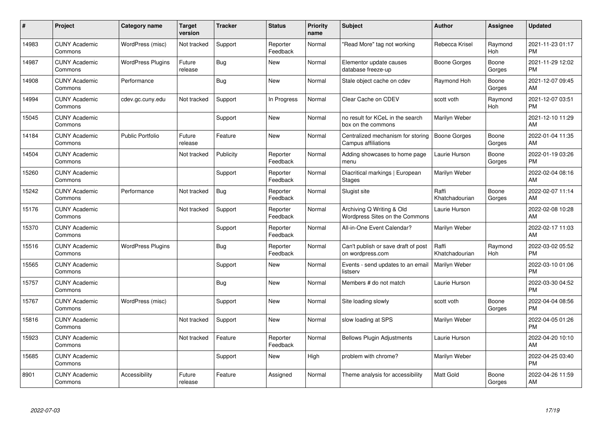| #     | Project                         | <b>Category name</b>     | <b>Target</b><br>version | <b>Tracker</b> | <b>Status</b>        | <b>Priority</b><br>name | <b>Subject</b>                                              | <b>Author</b>           | <b>Assignee</b> | <b>Updated</b>                |
|-------|---------------------------------|--------------------------|--------------------------|----------------|----------------------|-------------------------|-------------------------------------------------------------|-------------------------|-----------------|-------------------------------|
| 14983 | <b>CUNY Academic</b><br>Commons | WordPress (misc)         | Not tracked              | Support        | Reporter<br>Feedback | Normal                  | "Read More" tag not working                                 | Rebecca Krisel          | Raymond<br>Hoh  | 2021-11-23 01:17<br><b>PM</b> |
| 14987 | <b>CUNY Academic</b><br>Commons | <b>WordPress Plugins</b> | Future<br>release        | Bug            | <b>New</b>           | Normal                  | Elementor update causes<br>database freeze-up               | Boone Gorges            | Boone<br>Gorges | 2021-11-29 12:02<br><b>PM</b> |
| 14908 | <b>CUNY Academic</b><br>Commons | Performance              |                          | <b>Bug</b>     | <b>New</b>           | Normal                  | Stale object cache on cdev                                  | Raymond Hoh             | Boone<br>Gorges | 2021-12-07 09:45<br>AM        |
| 14994 | <b>CUNY Academic</b><br>Commons | cdev.gc.cuny.edu         | Not tracked              | Support        | In Progress          | Normal                  | Clear Cache on CDEV                                         | scott voth              | Raymond<br>Hoh  | 2021-12-07 03:51<br><b>PM</b> |
| 15045 | <b>CUNY Academic</b><br>Commons |                          |                          | Support        | <b>New</b>           | Normal                  | no result for KCeL in the search<br>box on the commons      | Marilyn Weber           |                 | 2021-12-10 11:29<br>AM        |
| 14184 | <b>CUNY Academic</b><br>Commons | <b>Public Portfolio</b>  | Future<br>release        | Feature        | <b>New</b>           | Normal                  | Centralized mechanism for storing<br>Campus affiliations    | <b>Boone Gorges</b>     | Boone<br>Gorges | 2022-01-04 11:35<br>AM        |
| 14504 | <b>CUNY Academic</b><br>Commons |                          | Not tracked              | Publicity      | Reporter<br>Feedback | Normal                  | Adding showcases to home page<br>menu                       | Laurie Hurson           | Boone<br>Gorges | 2022-01-19 03:26<br><b>PM</b> |
| 15260 | <b>CUNY Academic</b><br>Commons |                          |                          | Support        | Reporter<br>Feedback | Normal                  | Diacritical markings   European<br><b>Stages</b>            | Marilyn Weber           |                 | 2022-02-04 08:16<br>AM        |
| 15242 | <b>CUNY Academic</b><br>Commons | Performance              | Not tracked              | <b>Bug</b>     | Reporter<br>Feedback | Normal                  | Slugist site                                                | Raffi<br>Khatchadourian | Boone<br>Gorges | 2022-02-07 11:14<br>AM        |
| 15176 | <b>CUNY Academic</b><br>Commons |                          | Not tracked              | Support        | Reporter<br>Feedback | Normal                  | Archiving Q Writing & Old<br>Wordpress Sites on the Commons | Laurie Hurson           |                 | 2022-02-08 10:28<br>AM        |
| 15370 | <b>CUNY Academic</b><br>Commons |                          |                          | Support        | Reporter<br>Feedback | Normal                  | All-in-One Event Calendar?                                  | Marilyn Weber           |                 | 2022-02-17 11:03<br>AM        |
| 15516 | <b>CUNY Academic</b><br>Commons | <b>WordPress Plugins</b> |                          | <b>Bug</b>     | Reporter<br>Feedback | Normal                  | Can't publish or save draft of post<br>on wordpress.com     | Raffi<br>Khatchadourian | Raymond<br>Hoh  | 2022-03-02 05:52<br><b>PM</b> |
| 15565 | <b>CUNY Academic</b><br>Commons |                          |                          | Support        | New                  | Normal                  | Events - send updates to an email<br>listserv               | Marilyn Weber           |                 | 2022-03-10 01:06<br><b>PM</b> |
| 15757 | <b>CUNY Academic</b><br>Commons |                          |                          | <b>Bug</b>     | <b>New</b>           | Normal                  | Members # do not match                                      | Laurie Hurson           |                 | 2022-03-30 04:52<br><b>PM</b> |
| 15767 | <b>CUNY Academic</b><br>Commons | WordPress (misc)         |                          | Support        | New                  | Normal                  | Site loading slowly                                         | scott voth              | Boone<br>Gorges | 2022-04-04 08:56<br><b>PM</b> |
| 15816 | <b>CUNY Academic</b><br>Commons |                          | Not tracked              | Support        | New                  | Normal                  | slow loading at SPS                                         | Marilyn Weber           |                 | 2022-04-05 01:26<br><b>PM</b> |
| 15923 | <b>CUNY Academic</b><br>Commons |                          | Not tracked              | Feature        | Reporter<br>Feedback | Normal                  | <b>Bellows Plugin Adjustments</b>                           | Laurie Hurson           |                 | 2022-04-20 10:10<br>AM        |
| 15685 | <b>CUNY Academic</b><br>Commons |                          |                          | Support        | New                  | High                    | problem with chrome?                                        | Marilyn Weber           |                 | 2022-04-25 03:40<br><b>PM</b> |
| 8901  | <b>CUNY Academic</b><br>Commons | Accessibility            | Future<br>release        | Feature        | Assigned             | Normal                  | Theme analysis for accessibility                            | <b>Matt Gold</b>        | Boone<br>Gorges | 2022-04-26 11:59<br>AM        |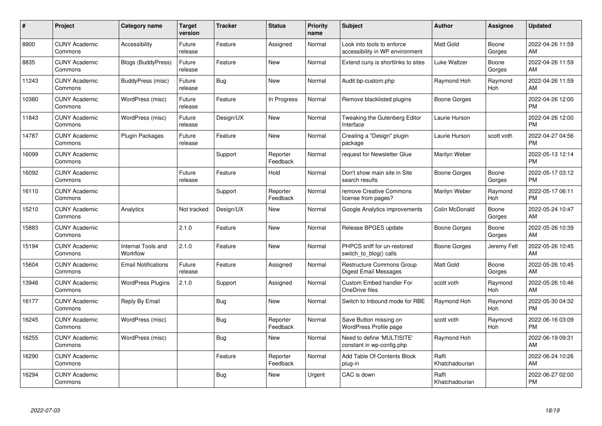| #     | Project                         | <b>Category name</b>           | <b>Target</b><br>version | <b>Tracker</b> | <b>Status</b>        | <b>Priority</b><br>name | <b>Subject</b>                                                | <b>Author</b>           | <b>Assignee</b> | <b>Updated</b>                |
|-------|---------------------------------|--------------------------------|--------------------------|----------------|----------------------|-------------------------|---------------------------------------------------------------|-------------------------|-----------------|-------------------------------|
| 8900  | <b>CUNY Academic</b><br>Commons | Accessibility                  | Future<br>release        | Feature        | Assigned             | Normal                  | Look into tools to enforce<br>accessibility in WP environment | <b>Matt Gold</b>        | Boone<br>Gorges | 2022-04-26 11:59<br>AM        |
| 8835  | <b>CUNY Academic</b><br>Commons | Blogs (BuddyPress)             | Future<br>release        | Feature        | <b>New</b>           | Normal                  | Extend cuny is shortlinks to sites                            | Luke Waltzer            | Boone<br>Gorges | 2022-04-26 11:59<br>AM        |
| 11243 | <b>CUNY Academic</b><br>Commons | BuddyPress (misc)              | Future<br>release        | <b>Bug</b>     | <b>New</b>           | Normal                  | Audit bp-custom.php                                           | Raymond Hoh             | Raymond<br>Hoh  | 2022-04-26 11:59<br>AM        |
| 10380 | <b>CUNY Academic</b><br>Commons | WordPress (misc)               | Future<br>release        | Feature        | In Progress          | Normal                  | Remove blacklisted plugins                                    | Boone Gorges            |                 | 2022-04-26 12:00<br><b>PM</b> |
| 11843 | <b>CUNY Academic</b><br>Commons | WordPress (misc)               | Future<br>release        | Design/UX      | <b>New</b>           | Normal                  | Tweaking the Gutenberg Editor<br>Interface                    | Laurie Hurson           |                 | 2022-04-26 12:00<br><b>PM</b> |
| 14787 | <b>CUNY Academic</b><br>Commons | <b>Plugin Packages</b>         | Future<br>release        | Feature        | <b>New</b>           | Normal                  | Creating a "Design" plugin<br>package                         | Laurie Hurson           | scott voth      | 2022-04-27 04:56<br><b>PM</b> |
| 16099 | <b>CUNY Academic</b><br>Commons |                                |                          | Support        | Reporter<br>Feedback | Normal                  | request for Newsletter Glue                                   | Marilyn Weber           |                 | 2022-05-13 12:14<br><b>PM</b> |
| 16092 | <b>CUNY Academic</b><br>Commons |                                | Future<br>release        | Feature        | Hold                 | Normal                  | Don't show main site in Site<br>search results                | Boone Gorges            | Boone<br>Gorges | 2022-05-17 03:12<br><b>PM</b> |
| 16110 | <b>CUNY Academic</b><br>Commons |                                |                          | Support        | Reporter<br>Feedback | Normal                  | remove Creative Commons<br>license from pages?                | Marilyn Weber           | Raymond<br>Hoh  | 2022-05-17 06:11<br><b>PM</b> |
| 15210 | <b>CUNY Academic</b><br>Commons | Analytics                      | Not tracked              | Design/UX      | <b>New</b>           | Normal                  | Google Analytics improvements                                 | Colin McDonald          | Boone<br>Gorges | 2022-05-24 10:47<br>AM        |
| 15883 | <b>CUNY Academic</b><br>Commons |                                | 2.1.0                    | Feature        | <b>New</b>           | Normal                  | Release BPGES update                                          | Boone Gorges            | Boone<br>Gorges | 2022-05-26 10:39<br>AM        |
| 15194 | <b>CUNY Academic</b><br>Commons | Internal Tools and<br>Workflow | 2.1.0                    | Feature        | <b>New</b>           | Normal                  | PHPCS sniff for un-restored<br>switch_to_blog() calls         | Boone Gorges            | Jeremy Felt     | 2022-05-26 10:45<br>AM        |
| 15604 | <b>CUNY Academic</b><br>Commons | <b>Email Notifications</b>     | Future<br>release        | Feature        | Assigned             | Normal                  | Restructure Commons Group<br>Digest Email Messages            | <b>Matt Gold</b>        | Boone<br>Gorges | 2022-05-26 10:45<br>AM        |
| 13946 | <b>CUNY Academic</b><br>Commons | <b>WordPress Plugins</b>       | 2.1.0                    | Support        | Assigned             | Normal                  | Custom Embed handler For<br>OneDrive files                    | scott voth              | Raymond<br>Hoh  | 2022-05-26 10:46<br>AM        |
| 16177 | <b>CUNY Academic</b><br>Commons | Reply By Email                 |                          | Bug            | New                  | Normal                  | Switch to Inbound mode for RBE                                | Raymond Hoh             | Raymond<br>Hoh  | 2022-05-30 04:32<br><b>PM</b> |
| 16245 | <b>CUNY Academic</b><br>Commons | WordPress (misc)               |                          | Bug            | Reporter<br>Feedback | Normal                  | Save Button missing on<br>WordPress Profile page              | scott voth              | Raymond<br>Hoh  | 2022-06-16 03:09<br><b>PM</b> |
| 16255 | <b>CUNY Academic</b><br>Commons | WordPress (misc)               |                          | Bug            | New                  | Normal                  | Need to define 'MULTISITE'<br>constant in wp-config.php       | Raymond Hoh             |                 | 2022-06-19 09:31<br>AM        |
| 16290 | <b>CUNY Academic</b><br>Commons |                                |                          | Feature        | Reporter<br>Feedback | Normal                  | Add Table Of Contents Block<br>plug-in                        | Raffi<br>Khatchadourian |                 | 2022-06-24 10:26<br>AM        |
| 16294 | <b>CUNY Academic</b><br>Commons |                                |                          | Bug            | New                  | Urgent                  | CAC is down                                                   | Raffi<br>Khatchadourian |                 | 2022-06-27 02:00<br><b>PM</b> |